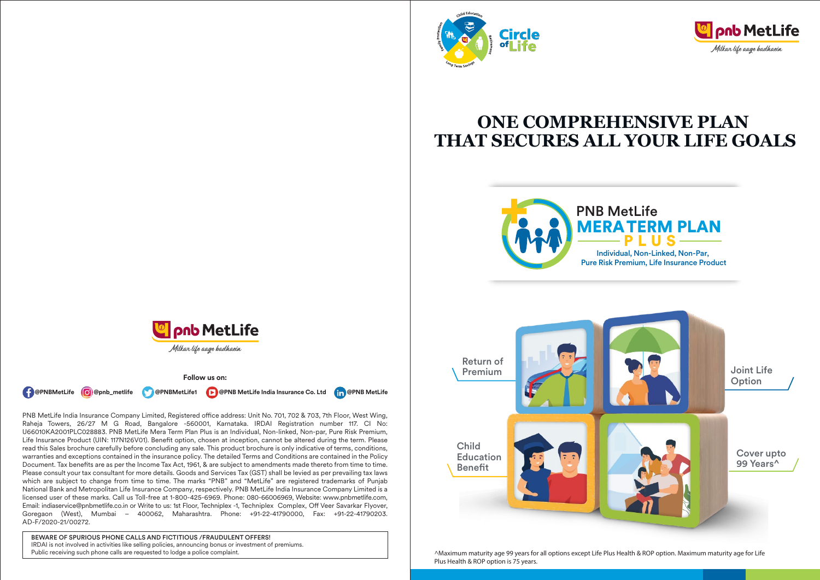



# **ONE COMPREHENSIVE PLAN THAT SECURES ALL YOUR LIFE GOALS**









**Follow us on:**

**( { @PNBMetLife @** @pnb\_metlife **\ \@** @PNBMetLife1 **D** @PNB MetLife India Insurance Co. Ltd **[in** @PNB MetLife

PNB MetLife India Insurance Company Limited, Registered office address: Unit No. 701, 702 & 703, 7th Floor, West Wing, Raheja Towers, 26/27 M G Road, Bangalore -560001, Karnataka. IRDAI Registration number 117. CI No: U66010KA2001PLC028883. PNB MetLife Mera Term Plan Plus is an Individual, Non-linked, Non-par, Pure Risk Premium, Life Insurance Product (UIN: 117N126V01). Benefit option, chosen at inception, cannot be altered during the term. Please read this Sales brochure carefully before concluding any sale. This product brochure is only indicative of terms, conditions, warranties and exceptions contained in the insurance policy. The detailed Terms and Conditions are contained in the Policy Document. Tax benefits are as per the Income Tax Act, 1961, & are subject to amendments made thereto from time to time. Please consult your tax consultant for more details. Goods and Services Tax (GST) shall be levied as per prevailing tax laws which are subject to change from time to time. The marks "PNB" and "MetLife" are registered trademarks of Punjab National Bank and Metropolitan Life Insurance Company, respectively. PNB MetLife India Insurance Company Limited is a licensed user of these marks. Call us Toll-free at 1-800-425-6969. Phone: 080-66006969, Website: www.pnbmetlife.com, Email: indiaservice@pnbmetlife.co.in or Write to us: 1st Floor, Techniplex -1, Techniplex Complex, Off Veer Savarkar Flyover, Goregaon (West), Mumbai – 400062, Maharashtra. Phone: +91-22-41790000, Fax: +91-22-41790203. AD-F/2020-21/00272.

BEWARE OF SPURIOUS PHONE CALLS AND FICTITIOUS /FRAUDULENT OFFERS! IRDAI is not involved in activities like selling policies, announcing bonus or investment of premiums. Public receiving such phone calls are requested to lodge a police complaint.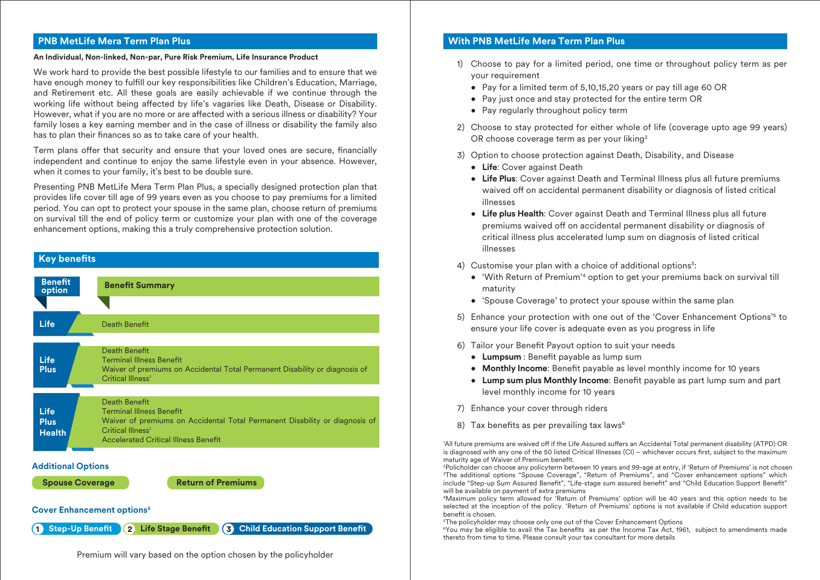# **PNB MetLife Mera Term Plan Plus**

#### **An Individual, Non-linked, Non-par, Pure Risk Premium, Life Insurance Product**

We work hard to provide the best possible lifestyle to our families and to ensure that we have enough money to fulfill our key responsibilities like Children's Education, Marriage, and Retirement etc. All these goals are easily achievable if we continue through the working life without being affected by life's vagaries like Death, Disease or Disability. However, what if you are no more or are affected with a serious illness or disability? Your family loses a key earning member and in the case of illness or disability the family also has to plan their finances so as to take care of your health.

Term plans offer that security and ensure that your loved ones are secure, financially independent and continue to enjoy the same lifestyle even in your absence. However, when it comes to your family, it's best to be double sure.

Presenting PNB MetLife Mera Term Plan Plus, a specially designed protection plan that provides life cover till age of 99 years even as you choose to pay premiums for a limited period. You can opt to protect your spouse in the same plan, choose return of premiums on survival till the end of policy term or customize your plan with one of the coverage enhancement options, making this a truly comprehensive protection solution.



**1** Step-Up Benefit **2** Life Stage Benefit **3** Child Education Support Benefit

# Premium will vary based on the option chosen by the policyholder

# **With PNB MetLife Mera Term Plan Plus**

- 1) Choose to pay for a limited period, one time or throughout policy term as per your requirement
	- Pay for a limited term of 5,10,15,20 years or pay till age 60 OR
	- Pay just once and stay protected for the entire term OR
	- Pay regularly throughout policy term
- 2) Choose to stay protected for either whole of life (coverage upto age 99 years) OR choose coverage term as per your liking<sup>2</sup>
- 3) Option to choose protection against Death, Disability, and Disease
	- **Life**: Cover against Death
	- **Life Plus**: Cover against Death and Terminal Illness plus all future premiums waived off on accidental permanent disability or diagnosis of listed critical illnesses
	- **Life plus Health**: Cover against Death and Terminal Illness plus all future premiums waived off on accidental permanent disability or diagnosis of critical illness plus accelerated lump sum on diagnosis of listed critical illnesses
- 4) Customise your plan with a choice of additional options<sup>3</sup>:
	- 'With Return of Premium'4 option to get your premiums back on survival till maturity
	- 'Spouse Coverage' to protect your spouse within the same plan
- 5) Enhance your protection with one out of the 'Cover Enhancement Options'<sup>5</sup> to ensure your life cover is adequate even as you progress in life
- 6) Tailor your Benefit Payout option to suit your needs
	- Lumpsum : Benefit payable as lump sum
	- Monthly Income: Benefit payable as level monthly income for 10 years
	- Lump sum plus Monthly Income: Benefit payable as part lump sum and part level monthly income for 10 years
- 7) Enhance your cover through riders
- 8) Tax benefits as per prevailing tax laws<sup>6</sup>

'All future premiums are waived off if the Life Assured suffers an Accidental Total permanent disability (ATPD) OR is diagnosed with any one of the 50 listed Critical Illnesses (CI) – whichever occurs first, subject to the maximum maturity age of Waiver of Premium benefit.

2 Policholder can choose any policyterm between 10 years and 99-age at entry, if 'Return of Premiums' is not chosen 3 The additional options "Spouse Coverage", "Return of Premiums", and "Cover enhancement options" which include "Step-up Sum Assured Benefit", "Life-stage sum assured benefit" and "Child Education Support Benefit" will be available on payment of extra premiums

4Maximum policy term allowed for 'Return of Premiums' option will be 40 years and this option needs to be selected at the inception of the policy. 'Return of Premiums' options is not available if Child education support benefit is chosen.

5 The policyholder may choose only one out of the Cover Enhancement Options

 $6$ You may be eligible to avail the Tax benefits as per the Income Tax Act, 1961, subject to amendments made thereto from time to time. Please consult your tax consultant for more details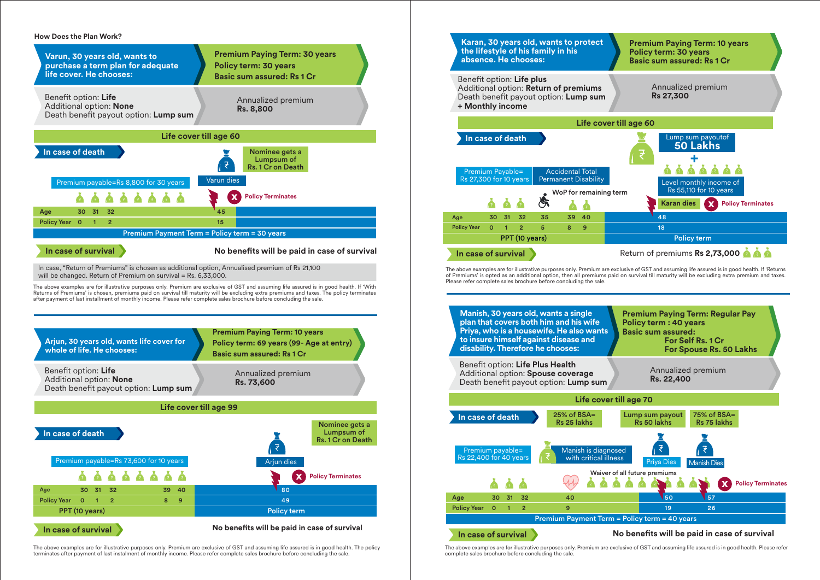#### **How Does the Plan Work?**



The above examples are for illustrative purposes only. Premium are exclusive of GST and assuming life assured is in good health. The policy terminates after payment of last instalment of monthly income. Please refer complete sales brochure before concluding the sale.



The above examples are for illustrative purposes only. Premium are exclusive of GST and assuming life assured is in good health. Please refer complete sales brochure before concluding the sale.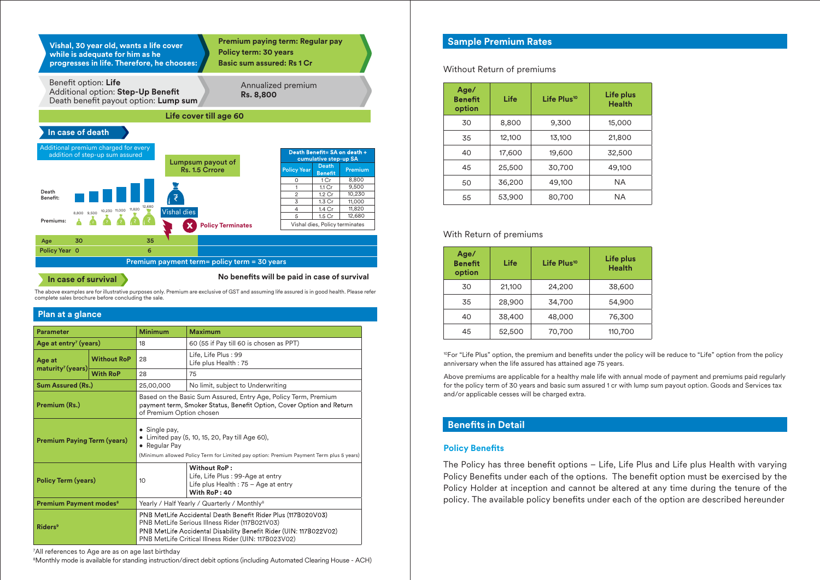

**In case of survival**

No benefits will be paid in case of survival

The above examples are for illustrative purposes only. Premium are exclusive of GST and assuming life assured is in good health. Please refer complete sales brochure before concluding the sale.

#### **Plan at a glance**

| <b>Parameter</b>                         |                 | <b>Minimum</b>                                                                                                                                                                                                                              | <b>Maximum</b>                                                                                            |  |
|------------------------------------------|-----------------|---------------------------------------------------------------------------------------------------------------------------------------------------------------------------------------------------------------------------------------------|-----------------------------------------------------------------------------------------------------------|--|
| Age at entry <sup>7</sup> (years)        |                 | 18                                                                                                                                                                                                                                          | 60 (55 if Pay till 60 is chosen as PPT)                                                                   |  |
| <b>Without RoP</b><br>Age at             |                 | 28                                                                                                                                                                                                                                          | Life, Life Plus: 99<br>Life plus Health: 75                                                               |  |
| matrix <sup>7</sup> (years)              | <b>With RoP</b> | 28                                                                                                                                                                                                                                          | 75                                                                                                        |  |
| <b>Sum Assured (Rs.)</b>                 |                 | 25,00,000                                                                                                                                                                                                                                   | No limit, subject to Underwriting                                                                         |  |
| Premium (Rs.)                            |                 | Based on the Basic Sum Assured, Entry Age, Policy Term, Premium<br>payment term, Smoker Status, Benefit Option, Cover Option and Return<br>of Premium Option chosen                                                                         |                                                                                                           |  |
| <b>Premium Paying Term (years)</b>       |                 | • Single pay,<br>• Limited pay (5, 10, 15, 20, Pay till Age 60),<br>• Regular Pay<br>(Minimum allowed Policy Term for Limited pay option: Premium Payment Term plus 5 years)                                                                |                                                                                                           |  |
| <b>Policy Term (years)</b>               |                 | 10                                                                                                                                                                                                                                          | Without RoP:<br>Life, Life Plus : 99-Age at entry<br>Life plus Health : 75 - Age at entry<br>With RoP: 40 |  |
| <b>Premium Payment modes<sup>8</sup></b> |                 | Yearly / Half Yearly / Quarterly / Monthly <sup>8</sup>                                                                                                                                                                                     |                                                                                                           |  |
| <b>Riders</b> <sup>9</sup>               |                 | PNB MetLife Accidental Death Benefit Rider Plus (117B020V03)<br>PNB MetLife Serious Illness Rider (117B021V03)<br>PNB MetLife Accidental Disability Benefit Rider (UIN: 117B022V02)<br>PNB MetLife Critical Illness Rider (UIN: 117B023V02) |                                                                                                           |  |

7 All references to Age are as on age last birthday

8 Monthly mode is available for standing instruction/direct debit options (including Automated Clearing House - ACH)

# **Sample Premium Rates**

Without Return of premiums

| Age/<br><b>Benefit</b><br>option | Life   | Life Plus <sup>10</sup> | Life plus<br><b>Health</b> |
|----------------------------------|--------|-------------------------|----------------------------|
| 30                               | 8,800  | 9,300                   | 15,000                     |
| 35                               | 12.100 | 13,100                  | 21,800                     |
| 40                               | 17,600 | 19,600                  | 32,500                     |
| 45                               | 25,500 | 30,700                  | 49,100                     |
| 50                               | 36,200 | 49,100                  | <b>NA</b>                  |
| 55                               | 53,900 | 80,700                  | ΝA                         |

#### With Return of premiums

| Age/<br><b>Benefit</b><br>option | Life   | Life Plus <sup>10</sup> | Life plus<br><b>Health</b> |
|----------------------------------|--------|-------------------------|----------------------------|
| 30                               | 21,100 | 24,200                  | 38,600                     |
| 35                               | 28,900 | 34,700                  | 54,900                     |
| 40                               | 38,400 | 48,000                  | 76,300                     |
| 45                               | 52,500 | 70,700                  | 110,700                    |

<sup>10</sup>For "Life Plus" option, the premium and benefits under the policy will be reduce to "Life" option from the policy anniversary when the life assured has attained age 75 years.

Above premiums are applicable for a healthy male life with annual mode of payment and premiums paid regularly for the policy term of 30 years and basic sum assured 1 cr with lump sum payout option. Goods and Services tax and/or applicable cesses will be charged extra.

# **Benefits in Detail**

#### **Policy Benefits**

The Policy has three benefit options - Life, Life Plus and Life plus Health with varying Policy Benefits under each of the options. The benefit option must be exercised by the Policy Holder at inception and cannot be altered at any time during the tenure of the policy. The available policy benefits under each of the option are described hereunder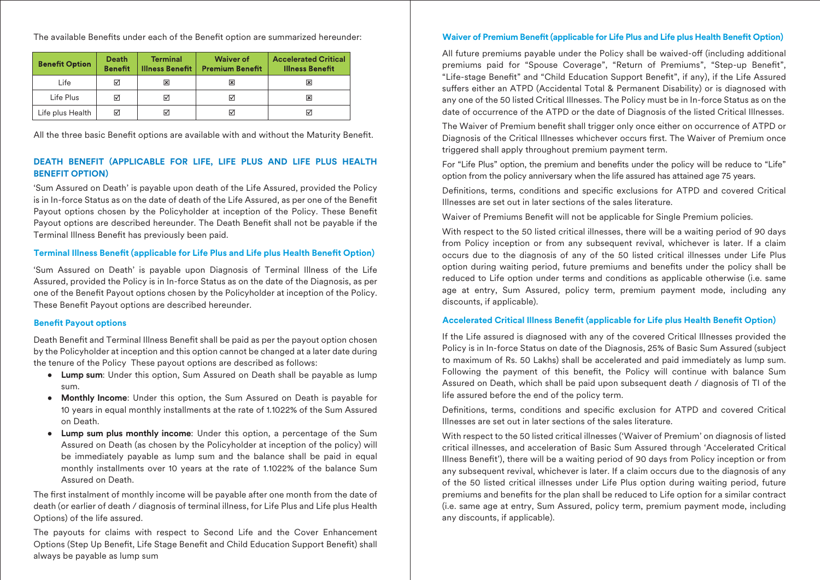The available Benefits under each of the Benefit option are summarized hereunder:

| <b>Benefit Option</b> | <b>Death</b><br><b>Benefit</b> | <b>Terminal</b><br><b>Illness Benefit</b> | <b>Waiver of</b><br><b>Premium Benefit</b> | <b>Accelerated Critical</b><br><b>Illness Benefit</b> |
|-----------------------|--------------------------------|-------------------------------------------|--------------------------------------------|-------------------------------------------------------|
| Life                  | ⊠                              | x                                         | ⊠                                          | ×                                                     |
| Life Plus             | ⊠                              | ⋈                                         | ⊽                                          | ×                                                     |
| Life plus Health      | ☑                              |                                           | ☑                                          | ⋈                                                     |

All the three basic Benefit options are available with and without the Maturity Benefit.

# **DEATH BENEFIT (APPLICABLE FOR LIFE, LIFE PLUS AND LIFE PLUS HEALTH BENEFIT OPTION)**

'Sum Assured on Death' is payable upon death of the Life Assured, provided the Policy is in In-force Status as on the date of death of the Life Assured, as per one of the Benet Payout options chosen by the Policyholder at inception of the Policy. These Benefit Payout options are described hereunder. The Death Benefit shall not be payable if the Terminal Illness Benefit has previously been paid.

# **Terminal Illness Benefit (applicable for Life Plus and Life plus Health Benefit Option)**

'Sum Assured on Death' is payable upon Diagnosis of Terminal Illness of the Life Assured, provided the Policy is in In-force Status as on the date of the Diagnosis, as per one of the Benefit Payout options chosen by the Policyholder at inception of the Policy. These Benefit Payout options are described hereunder.

### **Benefit Payout options**

Death Benefit and Terminal Illness Benefit shall be paid as per the payout option chosen by the Policyholder at inception and this option cannot be changed at a later date during the tenure of the Policy These payout options are described as follows:

- **Lump sum**: Under this option, Sum Assured on Death shall be payable as lump sum.
- **Monthly Income**: Under this option, the Sum Assured on Death is payable for 10 years in equal monthly installments at the rate of 1.1022% of the Sum Assured on Death.
- **Lump sum plus monthly income**: Under this option, a percentage of the Sum Assured on Death (as chosen by the Policyholder at inception of the policy) will be immediately payable as lump sum and the balance shall be paid in equal monthly installments over 10 years at the rate of 1.1022% of the balance Sum Assured on Death.

The first instalment of monthly income will be payable after one month from the date of death (or earlier of death / diagnosis of terminal illness, for Life Plus and Life plus Health Options) of the life assured.

The payouts for claims with respect to Second Life and the Cover Enhancement Options (Step Up Benefit, Life Stage Benefit and Child Education Support Benefit) shall always be payable as lump sum

# **Waiver of Premium Benefit (applicable for Life Plus and Life plus Health Benefit Option)**

All future premiums payable under the Policy shall be waived-off (including additional premiums paid for "Spouse Coverage", "Return of Premiums", "Step-up Benet", "Life-stage Benefit" and "Child Education Support Benefit", if any), if the Life Assured suffers either an ATPD (Accidental Total & Permanent Disability) or is diagnosed with any one of the 50 listed Critical Illnesses. The Policy must be in In-force Status as on the date of occurrence of the ATPD or the date of Diagnosis of the listed Critical Illnesses.

The Waiver of Premium benefit shall trigger only once either on occurrence of ATPD or Diagnosis of the Critical Illnesses whichever occurs first. The Waiver of Premium once triggered shall apply throughout premium payment term.

For "Life Plus" option, the premium and benefits under the policy will be reduce to "Life" option from the policy anniversary when the life assured has attained age 75 years.

Definitions, terms, conditions and specific exclusions for ATPD and covered Critical Illnesses are set out in later sections of the sales literature.

Waiver of Premiums Benefit will not be applicable for Single Premium policies.

With respect to the 50 listed critical illnesses, there will be a waiting period of 90 days from Policy inception or from any subsequent revival, whichever is later. If a claim occurs due to the diagnosis of any of the 50 listed critical illnesses under Life Plus option during waiting period, future premiums and benefits under the policy shall be reduced to Life option under terms and conditions as applicable otherwise (i.e. same age at entry, Sum Assured, policy term, premium payment mode, including any discounts, if applicable).

# **Accelerated Critical Illness Benefit (applicable for Life plus Health Benefit Option)**

If the Life assured is diagnosed with any of the covered Critical Illnesses provided the Policy is in In-force Status on date of the Diagnosis, 25% of Basic Sum Assured (subject to maximum of Rs. 50 Lakhs) shall be accelerated and paid immediately as lump sum. Following the payment of this benefit, the Policy will continue with balance Sum Assured on Death, which shall be paid upon subsequent death / diagnosis of TI of the life assured before the end of the policy term.

Definitions, terms, conditions and specific exclusion for ATPD and covered Critical Illnesses are set out in later sections of the sales literature.

With respect to the 50 listed critical illnesses ('Waiver of Premium' on diagnosis of listed critical illnesses, and acceleration of Basic Sum Assured through 'Accelerated Critical Illness Benefit'), there will be a waiting period of 90 days from Policy inception or from any subsequent revival, whichever is later. If a claim occurs due to the diagnosis of any of the 50 listed critical illnesses under Life Plus option during waiting period, future premiums and benefits for the plan shall be reduced to Life option for a similar contract (i.e. same age at entry, Sum Assured, policy term, premium payment mode, including any discounts, if applicable).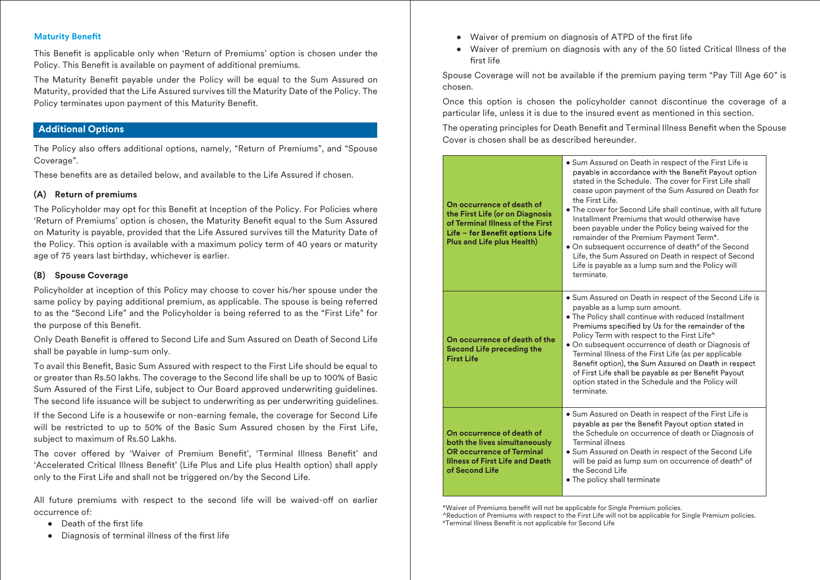#### **Maturity Benefit**

This Benefit is applicable only when 'Return of Premiums' option is chosen under the Policy. This Benefit is available on payment of additional premiums.

The Maturity Benefit payable under the Policy will be equal to the Sum Assured on Maturity, provided that the Life Assured survives till the Maturity Date of the Policy. The Policy terminates upon payment of this Maturity Benefit.

# **Additional Options**

The Policy also offers additional options, namely, "Return of Premiums", and "Spouse Coverage".

These benefits are as detailed below, and available to the Life Assured if chosen.

#### **(A) Return of premiums**

The Policyholder may opt for this Benefit at Inception of the Policy. For Policies where 'Return of Premiums' option is chosen, the Maturity Benefit equal to the Sum Assured on Maturity is payable, provided that the Life Assured survives till the Maturity Date of the Policy. This option is available with a maximum policy term of 40 years or maturity age of 75 years last birthday, whichever is earlier.

#### **(B) Spouse Coverage**

Policyholder at inception of this Policy may choose to cover his/her spouse under the same policy by paying additional premium, as applicable. The spouse is being referred to as the "Second Life" and the Policyholder is being referred to as the "First Life" for the purpose of this Benefit.

Only Death Benefit is offered to Second Life and Sum Assured on Death of Second Life shall be payable in lump-sum only.

To avail this Benefit, Basic Sum Assured with respect to the First Life should be equal to or greater than Rs.50 lakhs. The coverage to the Second life shall be up to 100% of Basic Sum Assured of the First Life, subject to Our Board approved underwriting guidelines. The second life issuance will be subject to underwriting as per underwriting guidelines.

If the Second Life is a housewife or non-earning female, the coverage for Second Life will be restricted to up to 50% of the Basic Sum Assured chosen by the First Life, subject to maximum of Rs.50 Lakhs.

The cover offered by 'Waiver of Premium Benefit', 'Terminal Illness Benefit' and 'Accelerated Critical Illness Benefit' (Life Plus and Life plus Health option) shall apply only to the First Life and shall not be triggered on/by the Second Life.

All future premiums with respect to the second life will be waived-off on earlier occurrence of:

- Death of the first life
- $\bullet$  Diagnosis of terminal illness of the first life
- Waiver of premium on diagnosis of ATPD of the first life
- Waiver of premium on diagnosis with any of the 50 listed Critical Illness of the rst life

Spouse Coverage will not be available if the premium paying term "Pay Till Age 60" is chosen.

Once this option is chosen the policyholder cannot discontinue the coverage of a particular life, unless it is due to the insured event as mentioned in this section.

The operating principles for Death Benefit and Terminal Illness Benefit when the Spouse Cover is chosen shall be as described hereunder.

| On occurrence of death of<br>the First Life (or on Diagnosis<br>of Terminal Illness of the First<br>Life - for Benefit options Life<br><b>Plus and Life plus Health)</b> | • Sum Assured on Death in respect of the First Life is<br>payable in accordance with the Benefit Payout option<br>stated in the Schedule. The cover for First Life shall<br>cease upon payment of the Sum Assured on Death for<br>the First Life.<br>• The cover for Second Life shall continue, with all future<br>Installment Premiums that would otherwise have<br>been payable under the Policy being waived for the<br>remainder of the Premium Payment Term*.<br>. On subsequent occurrence of death# of the Second<br>Life, the Sum Assured on Death in respect of Second<br>Life is payable as a lump sum and the Policy will<br>terminate. |
|--------------------------------------------------------------------------------------------------------------------------------------------------------------------------|-----------------------------------------------------------------------------------------------------------------------------------------------------------------------------------------------------------------------------------------------------------------------------------------------------------------------------------------------------------------------------------------------------------------------------------------------------------------------------------------------------------------------------------------------------------------------------------------------------------------------------------------------------|
| On occurrence of death of the<br><b>Second Life preceding the</b><br><b>First Life</b>                                                                                   | • Sum Assured on Death in respect of the Second Life is<br>payable as a lump sum amount.<br>. The Policy shall continue with reduced Installment<br>Premiums specified by Us for the remainder of the<br>Policy Term with respect to the First Life^<br>• On subsequent occurrence of death or Diagnosis of<br>Terminal Illness of the First Life (as per applicable<br>Benefit option), the Sum Assured on Death in respect<br>of First Life shall be payable as per Benefit Payout<br>option stated in the Schedule and the Policy will<br>terminate.                                                                                             |
| On occurrence of death of<br>both the lives simultaneously<br><b>OR occurrence of Terminal</b><br><b>Illness of First Life and Death</b><br>of Second Life               | • Sum Assured on Death in respect of the First Life is<br>payable as per the Benefit Payout option stated in<br>the Schedule on occurrence of death or Diagnosis of<br><b>Terminal illness</b><br>• Sum Assured on Death in respect of the Second Life<br>will be paid as lump sum on occurrence of death# of<br>the Second Life<br>• The policy shall terminate                                                                                                                                                                                                                                                                                    |

\*Waiver of Premiums benefit will not be applicable for Single Premium policies. ^Reduction of Premiums with respect to the First Life will not be applicable for Single Premium policies. #Terminal Illness Benefit is not applicable for Second Life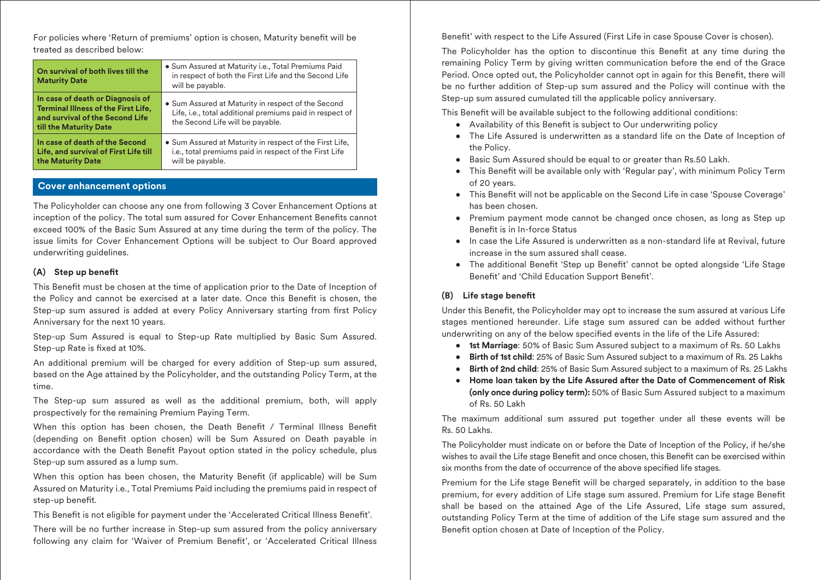For policies where 'Return of premiums' option is chosen, Maturity benefit will be treated as described below:

| On survival of both lives till the<br><b>Maturity Date</b>                                                                                  | · Sum Assured at Maturity i.e., Total Premiums Paid<br>in respect of both the First Life and the Second Life<br>will be payable.                   |
|---------------------------------------------------------------------------------------------------------------------------------------------|----------------------------------------------------------------------------------------------------------------------------------------------------|
| In case of death or Diagnosis of<br><b>Terminal Illness of the First Life,</b><br>and survival of the Second Life<br>till the Maturity Date | • Sum Assured at Maturity in respect of the Second<br>Life, i.e., total additional premiums paid in respect of<br>the Second Life will be payable. |
| In case of death of the Second<br>Life, and survival of First Life till<br>the Maturity Date                                                | • Sum Assured at Maturity in respect of the First Life,<br>i.e., total premiums paid in respect of the First Life<br>will be payable.              |

# **Cover enhancement options**

The Policyholder can choose any one from following 3 Cover Enhancement Options at inception of the policy. The total sum assured for Cover Enhancement Benefits cannot exceed 100% of the Basic Sum Assured at any time during the term of the policy. The issue limits for Cover Enhancement Options will be subject to Our Board approved underwriting guidelines.

### **(A) Step up benet**

This Benefit must be chosen at the time of application prior to the Date of Inception of the Policy and cannot be exercised at a later date. Once this Benefit is chosen, the Step-up sum assured is added at every Policy Anniversary starting from first Policy Anniversary for the next 10 years.

Step-up Sum Assured is equal to Step-up Rate multiplied by Basic Sum Assured. Step-up Rate is fixed at 10%.

An additional premium will be charged for every addition of Step-up sum assured, based on the Age attained by the Policyholder, and the outstanding Policy Term, at the time.

The Step-up sum assured as well as the additional premium, both, will apply prospectively for the remaining Premium Paying Term.

When this option has been chosen, the Death Benefit / Terminal Illness Benefit (depending on Benefit option chosen) will be Sum Assured on Death payable in accordance with the Death Benefit Payout option stated in the policy schedule, plus Step-up sum assured as a lump sum.

When this option has been chosen, the Maturity Benefit (if applicable) will be Sum Assured on Maturity i.e., Total Premiums Paid including the premiums paid in respect of step-up benefit.

This Benefit is not eligible for payment under the 'Accelerated Critical Illness Benefit'.

There will be no further increase in Step-up sum assured from the policy anniversary following any claim for 'Waiver of Premium Benefit', or 'Accelerated Critical Illness Benefit' with respect to the Life Assured (First Life in case Spouse Cover is chosen).

The Policyholder has the option to discontinue this Benefit at any time during the remaining Policy Term by giving written communication before the end of the Grace Period. Once opted out, the Policyholder cannot opt in again for this Benefit, there will be no further addition of Step-up sum assured and the Policy will continue with the Step-up sum assured cumulated till the applicable policy anniversary.

This Benefit will be available subject to the following additional conditions:

- Availability of this Benefit is subject to Our underwriting policy
- The Life Assured is underwritten as a standard life on the Date of Inception of the Policy.
- Basic Sum Assured should be equal to or greater than Rs.50 Lakh.
- This Benefit will be available only with 'Regular pay', with minimum Policy Term of 20 years.
- This Benefit will not be applicable on the Second Life in case 'Spouse Coverage' has been chosen.
- Premium payment mode cannot be changed once chosen, as long as Step up Benefit is in In-force Status
- In case the Life Assured is underwritten as a non-standard life at Revival, future increase in the sum assured shall cease.
- The additional Benefit 'Step up Benefit' cannot be opted alongside 'Life Stage Benefit' and 'Child Education Support Benefit'.

# **(B) Life stage benet**

Under this Benefit, the Policyholder may opt to increase the sum assured at various Life stages mentioned hereunder. Life stage sum assured can be added without further underwriting on any of the below specified events in the life of the Life Assured:

- **1st Marriage**: 50% of Basic Sum Assured subject to a maximum of Rs. 50 Lakhs
- **Birth of 1st child**: 25% of Basic Sum Assured subject to a maximum of Rs. 25 Lakhs
- **Birth of 2nd child**: 25% of Basic Sum Assured subject to a maximum of Rs. 25 Lakhs
- **Home loan taken by the Life Assured after the Date of Commencement of Risk (only once during policy term):** 50% of Basic Sum Assured subject to a maximum of Rs. 50 Lakh

The maximum additional sum assured put together under all these events will be Rs. 50 Lakhs.

The Policyholder must indicate on or before the Date of Inception of the Policy, if he/she wishes to avail the Life stage Benefit and once chosen, this Benefit can be exercised within six months from the date of occurrence of the above specified life stages.

Premium for the Life stage Benefit will be charged separately, in addition to the base premium, for every addition of Life stage sum assured. Premium for Life stage Benefit shall be based on the attained Age of the Life Assured, Life stage sum assured, outstanding Policy Term at the time of addition of the Life stage sum assured and the Benefit option chosen at Date of Inception of the Policy.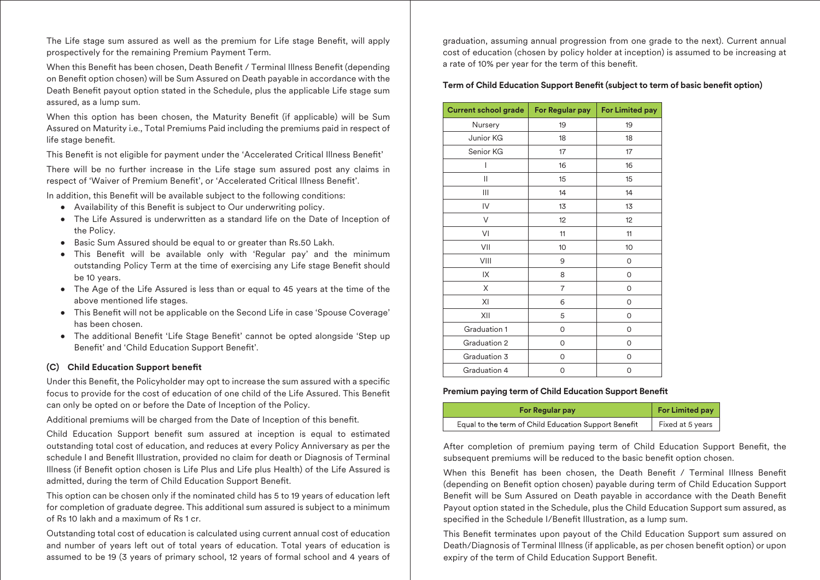The Life stage sum assured as well as the premium for Life stage Benefit, will apply prospectively for the remaining Premium Payment Term.

When this Benefit has been chosen, Death Benefit / Terminal Illness Benefit (depending on Benefit option chosen) will be Sum Assured on Death payable in accordance with the Death Benefit payout option stated in the Schedule, plus the applicable Life stage sum assured, as a lump sum.

When this option has been chosen, the Maturity Benefit (if applicable) will be Sum Assured on Maturity i.e., Total Premiums Paid including the premiums paid in respect of life stage benefit.

This Benefit is not eligible for payment under the 'Accelerated Critical Illness Benefit'

There will be no further increase in the Life stage sum assured post any claims in respect of 'Waiver of Premium Benefit', or 'Accelerated Critical Illness Benefit'.

In addition, this Benefit will be available subject to the following conditions:

- Availability of this Benefit is subject to Our underwriting policy.
- The Life Assured is underwritten as a standard life on the Date of Inception of the Policy.
- Basic Sum Assured should be equal to or greater than Rs.50 Lakh.
- This Benefit will be available only with 'Regular pay' and the minimum outstanding Policy Term at the time of exercising any Life stage Benefit should be 10 years.
- The Age of the Life Assured is less than or equal to 45 years at the time of the above mentioned life stages.
- This Benefit will not be applicable on the Second Life in case 'Spouse Coverage' has been chosen.
- The additional Benefit 'Life Stage Benefit' cannot be opted alongside 'Step up Benefit' and 'Child Education Support Benefit'.

### **(C) Child Education Support benet**

Under this Benefit, the Policyholder may opt to increase the sum assured with a specific focus to provide for the cost of education of one child of the Life Assured. This Benet can only be opted on or before the Date of Inception of the Policy.

Additional premiums will be charged from the Date of Inception of this benefit.

Child Education Support benefit sum assured at inception is equal to estimated outstanding total cost of education, and reduces at every Policy Anniversary as per the schedule I and Benefit Illustration, provided no claim for death or Diagnosis of Terminal Illness (if Benefit option chosen is Life Plus and Life plus Health) of the Life Assured is admitted, during the term of Child Education Support Benefit.

This option can be chosen only if the nominated child has 5 to 19 years of education left for completion of graduate degree. This additional sum assured is subject to a minimum of Rs 10 lakh and a maximum of Rs 1 cr.

Outstanding total cost of education is calculated using current annual cost of education and number of years left out of total years of education. Total years of education is assumed to be 19 (3 years of primary school, 12 years of formal school and 4 years of graduation, assuming annual progression from one grade to the next). Current annual cost of education (chosen by policy holder at inception) is assumed to be increasing at a rate of 10% per year for the term of this benefit.

# **Term of Child Education Support Benefit (subject to term of basic benefit option)**

| <b>Current school grade</b> | For Regular pay | <b>For Limited pay</b> |
|-----------------------------|-----------------|------------------------|
| Nursery                     | 19              | 19                     |
| Junior KG                   | 18              | 18                     |
| Senior KG                   | 17              | 17                     |
|                             | 16              | 16                     |
| Ш                           | 15              | 15                     |
| Ш                           | 14              | 14                     |
| IV                          | 13              | 13                     |
| V                           | 12              | 12                     |
| VI                          | 11              | 11                     |
| VII                         | 10              | 10                     |
| VIII                        | 9               | 0                      |
| IX                          | 8               | 0                      |
| X                           | $\overline{7}$  | 0                      |
| XI                          | 6               | 0                      |
| XII                         | 5               | 0                      |
| Graduation 1                | 0               | 0                      |
| Graduation 2                | 0               | 0                      |
| Graduation 3                | 0               | 0                      |
| Graduation 4                | 0               | 0                      |

### **Premium paying term of Child Education Support Benefit**

| <b>For Regular pay</b>                               | <b>For Limited pay</b> |
|------------------------------------------------------|------------------------|
| Equal to the term of Child Education Support Benefit | Fixed at 5 years       |

After completion of premium paying term of Child Education Support Benefit, the subsequent premiums will be reduced to the basic benefit option chosen.

When this Benefit has been chosen, the Death Benefit / Terminal Illness Benefit (depending on Benefit option chosen) payable during term of Child Education Support Benefit will be Sum Assured on Death payable in accordance with the Death Benefit Payout option stated in the Schedule, plus the Child Education Support sum assured, as specified in the Schedule I/Benefit Illustration, as a lump sum.

This Benefit terminates upon payout of the Child Education Support sum assured on Death/Diagnosis of Terminal Illness (if applicable, as per chosen benefit option) or upon expiry of the term of Child Education Support Benefit.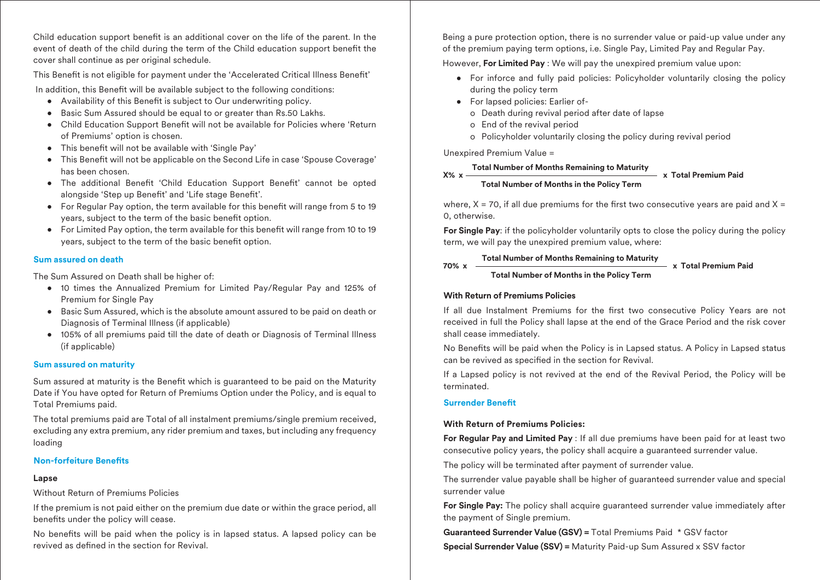Child education support benefit is an additional cover on the life of the parent. In the event of death of the child during the term of the Child education support benefit the cover shall continue as per original schedule.

This Benefit is not eligible for payment under the 'Accelerated Critical Illness Benefit'

In addition, this Benefit will be available subject to the following conditions:

- Availability of this Benefit is subject to Our underwriting policy.
- Basic Sum Assured should be equal to or greater than Rs.50 Lakhs.
- Child Education Support Benefit will not be available for Policies where 'Return of Premiums' option is chosen.
- This benefit will not be available with 'Single Pay'
- This Benefit will not be applicable on the Second Life in case 'Spouse Coverage' has been chosen.
- The additional Benefit 'Child Education Support Benefit' cannot be opted alongside 'Step up Benefit' and 'Life stage Benefit'.
- For Regular Pay option, the term available for this benefit will range from 5 to 19 years, subject to the term of the basic benefit option.
- $\bullet$  For Limited Pay option, the term available for this benefit will range from 10 to 19 years, subject to the term of the basic benefit option.

# **Sum assured on death**

The Sum Assured on Death shall be higher of:

- 10 times the Annualized Premium for Limited Pay/Regular Pay and 125% of Premium for Single Pay
- Basic Sum Assured, which is the absolute amount assured to be paid on death or Diagnosis of Terminal Illness (if applicable)
- 105% of all premiums paid till the date of death or Diagnosis of Terminal Illness (if applicable)

# **Sum assured on maturity**

Sum assured at maturity is the Benefit which is quaranteed to be paid on the Maturity Date if You have opted for Return of Premiums Option under the Policy, and is equal to Total Premiums paid.

The total premiums paid are Total of all instalment premiums/single premium received, excluding any extra premium, any rider premium and taxes, but including any frequency loading

# **Non-forfeiture Benets**

# **Lapse**

Without Return of Premiums Policies

If the premium is not paid either on the premium due date or within the grace period, all benefits under the policy will cease.

No benefits will be paid when the policy is in lapsed status. A lapsed policy can be revived as defined in the section for Revival

Being a pure protection option, there is no surrender value or paid-up value under any of the premium paying term options, i.e. Single Pay, Limited Pay and Regular Pay.

However, **For Limited Pay** : We will pay the unexpired premium value upon:

- For inforce and fully paid policies: Policyholder voluntarily closing the policy during the policy term
- For lapsed policies: Earlier of
	- o Death during revival period after date of lapse
	- o End of the revival period
	- o Policyholder voluntarily closing the policy during revival period

Unexpired Premium Value =

#### **X% x Total Number of Months Remaining to Maturity x Total Premium Paid**

### **Total Number of Months in the Policy Term**

where,  $X = 70$ , if all due premiums for the first two consecutive years are paid and  $X =$ 0, otherwise.

**For Single Pay**: if the policyholder voluntarily opts to close the policy during the policy term, we will pay the unexpired premium value, where:

#### **70% x Total Number of Months Remaining to Maturity**

# **Total Number of Months in the Policy Term**

**x Total Premium Paid**

# **With Return of Premiums Policies**

If all due Instalment Premiums for the first two consecutive Policy Years are not received in full the Policy shall lapse at the end of the Grace Period and the risk cover shall cease immediately.

No Benefits will be paid when the Policy is in Lapsed status. A Policy in Lapsed status can be revived as specified in the section for Revival.

If a Lapsed policy is not revived at the end of the Revival Period, the Policy will be terminated.

# **Surrender Benefit**

# **With Return of Premiums Policies:**

**For Regular Pay and Limited Pay** : If all due premiums have been paid for at least two consecutive policy years, the policy shall acquire a guaranteed surrender value.

The policy will be terminated after payment of surrender value.

The surrender value payable shall be higher of guaranteed surrender value and special surrender value

**For Single Pay:** The policy shall acquire guaranteed surrender value immediately after the payment of Single premium.

**Guaranteed Surrender Value (GSV) =** Total Premiums Paid \* GSV factor **Special Surrender Value (SSV) =** Maturity Paid-up Sum Assured x SSV factor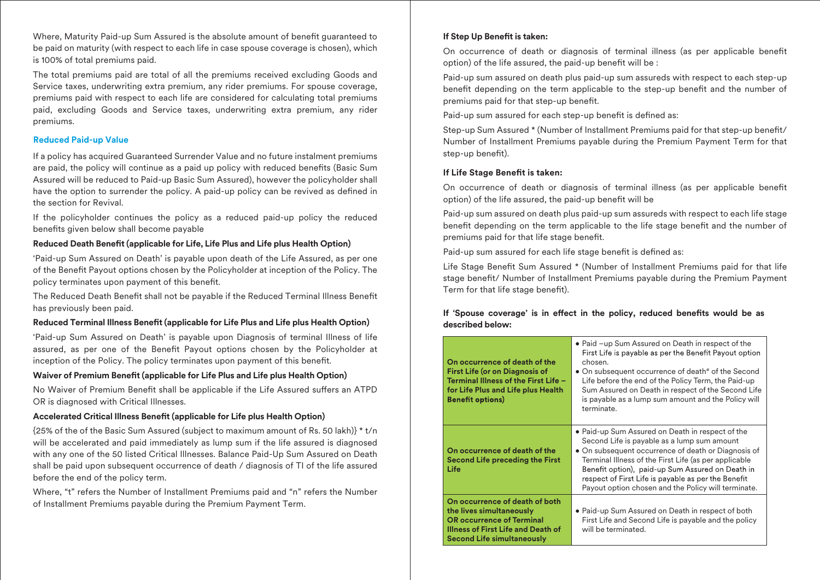Where, Maturity Paid-up Sum Assured is the absolute amount of benefit guaranteed to be paid on maturity (with respect to each life in case spouse coverage is chosen), which is 100% of total premiums paid.

The total premiums paid are total of all the premiums received excluding Goods and Service taxes, underwriting extra premium, any rider premiums. For spouse coverage, premiums paid with respect to each life are considered for calculating total premiums paid, excluding Goods and Service taxes, underwriting extra premium, any rider premiums.

#### **Reduced Paid-up Value**

If a policy has acquired Guaranteed Surrender Value and no future instalment premiums are paid, the policy will continue as a paid up policy with reduced benefits (Basic Sum Assured will be reduced to Paid-up Basic Sum Assured), however the policyholder shall have the option to surrender the policy. A paid-up policy can be revived as defined in the section for Revival.

If the policyholder continues the policy as a reduced paid-up policy the reduced benefits given below shall become payable

### **Reduced Death Benefit (applicable for Life, Life Plus and Life plus Health Option)**

'Paid-up Sum Assured on Death' is payable upon death of the Life Assured, as per one of the Benefit Payout options chosen by the Policyholder at inception of the Policy. The policy terminates upon payment of this benefit.

The Reduced Death Benefit shall not be payable if the Reduced Terminal Illness Benefit has previously been paid.

# **Reduced Terminal Illness Benefit (applicable for Life Plus and Life plus Health Option)**

'Paid-up Sum Assured on Death' is payable upon Diagnosis of terminal Illness of life assured, as per one of the Benefit Payout options chosen by the Policyholder at inception of the Policy. The policy terminates upon payment of this benefit.

### **Waiver of Premium Benefit (applicable for Life Plus and Life plus Health Option)**

No Waiver of Premium Benefit shall be applicable if the Life Assured suffers an ATPD OR is diagnosed with Critical Illnesses.

### **Accelerated Critical Illness Benefit (applicable for Life plus Health Option)**

{25% of the of the Basic Sum Assured (subject to maximum amount of Rs. 50 lakh)} \* t/n will be accelerated and paid immediately as lump sum if the life assured is diagnosed with any one of the 50 listed Critical Illnesses. Balance Paid-Up Sum Assured on Death shall be paid upon subsequent occurrence of death / diagnosis of TI of the life assured before the end of the policy term.

Where, "t" refers the Number of Installment Premiums paid and "n" refers the Number of Installment Premiums payable during the Premium Payment Term.

# **If Step Up Benefit is taken:**

On occurrence of death or diagnosis of terminal illness (as per applicable benet option) of the life assured, the paid-up benefit will be :

Paid-up sum assured on death plus paid-up sum assureds with respect to each step-up benefit depending on the term applicable to the step-up benefit and the number of premiums paid for that step-up benefit.

Paid-up sum assured for each step-up benefit is defined as:

Step-up Sum Assured \* (Number of Installment Premiums paid for that step-up benefit/ Number of Installment Premiums payable during the Premium Payment Term for that step-up benefit).

### **If Life Stage Benefit is taken:**

On occurrence of death or diagnosis of terminal illness (as per applicable benefit option) of the life assured, the paid-up benefit will be

Paid-up sum assured on death plus paid-up sum assureds with respect to each life stage benefit depending on the term applicable to the life stage benefit and the number of premiums paid for that life stage benefit.

Paid-up sum assured for each life stage benefit is defined as:

Life Stage Benefit Sum Assured \* (Number of Installment Premiums paid for that life stage benefit/ Number of Installment Premiums payable during the Premium Payment Term for that life stage benefit).

# If 'Spouse coverage' is in effect in the policy, reduced benefits would be as **described below:**

| On occurrence of death of the<br><b>First Life (or on Diagnosis of</b><br>Terminal Illness of the First Life -<br>for Life Plus and Life plus Health<br><b>Benefit options)</b>  | • Paid -up Sum Assured on Death in respect of the<br>First Life is payable as per the Benefit Payout option<br>chosen.<br>• On subsequent occurrence of death# of the Second<br>Life before the end of the Policy Term, the Paid-up<br>Sum Assured on Death in respect of the Second Life<br>is payable as a lump sum amount and the Policy will<br>terminate.                    |
|----------------------------------------------------------------------------------------------------------------------------------------------------------------------------------|-----------------------------------------------------------------------------------------------------------------------------------------------------------------------------------------------------------------------------------------------------------------------------------------------------------------------------------------------------------------------------------|
| On occurrence of death of the<br><b>Second Life preceding the First</b><br>Life                                                                                                  | • Paid-up Sum Assured on Death in respect of the<br>Second Life is payable as a lump sum amount<br>• On subsequent occurrence of death or Diagnosis of<br>Terminal Illness of the First Life (as per applicable<br>Benefit option), paid-up Sum Assured on Death in<br>respect of First Life is payable as per the Benefit<br>Payout option chosen and the Policy will terminate. |
| On occurrence of death of both<br>the lives simultaneously<br><b>OR occurrence of Terminal</b><br><b>Illness of First Life and Death of</b><br><b>Second Life simultaneously</b> | • Paid-up Sum Assured on Death in respect of both<br>First Life and Second Life is payable and the policy<br>will be terminated.                                                                                                                                                                                                                                                  |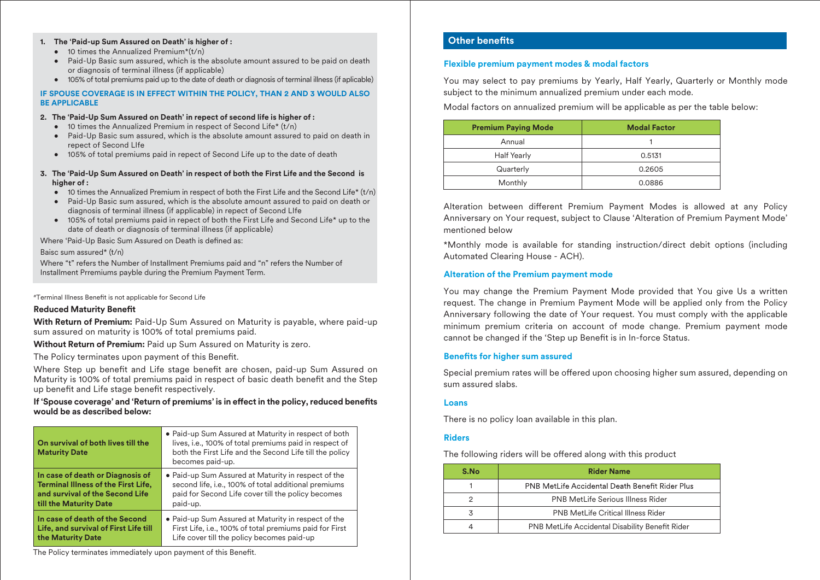#### **1. The 'Paid-up Sum Assured on Death' is higher of :**

- $\bullet$  10 times the Annualized Premium\*( $t/n$ )
- Paid-Up Basic sum assured, which is the absolute amount assured to be paid on death or diagnosis of terminal illness (if applicable)
- 105% of total premiums paid up to the date of death or diagnosis of terminal illness (if aplicable)

#### **IF SPOUSE COVERAGE IS IN EFFECT WITHIN THE POLICY, THAN 2 AND 3 WOULD ALSO BE APPLICABLE**

#### **2. The 'Paid-Up Sum Assured on Death' in repect of second life is higher of :**

- $\bullet$  10 times the Annualized Premium in respect of Second Life\* (t/n)
- Paid-Up Basic sum assured, which is the absolute amount assured to paid on death in repect of Second LIfe
- 105% of total premiums paid in repect of Second Life up to the date of death
- **3. The 'Paid-Up Sum Assured on Death' in respect of both the First Life and the Second is higher of :**
	- $\bullet$  10 times the Annualized Premium in respect of both the First Life and the Second Life\* (t/n)
	- Paid-Up Basic sum assured, which is the absolute amount assured to paid on death or diagnosis of terminal illness (if applicable) in repect of Second LIfe
	- 105% of total premiums paid in repect of both the First Life and Second Life\* up to the date of death or diagnosis of terminal illness (if applicable)

Where 'Paid-Up Basic Sum Assured on Death is defined as:

#### Baisc sum assured\* (t/n)

Where "t" refers the Number of Installment Premiums paid and "n" refers the Number of Installment Prremiums payble during the Premium Payment Term.

#Terminal Illness Benefit is not applicable for Second Life

#### **Reduced Maturity Benefit**

**With Return of Premium:** Paid-Up Sum Assured on Maturity is payable, where paid-up sum assured on maturity is 100% of total premiums paid.

**Without Return of Premium:** Paid up Sum Assured on Maturity is zero.

The Policy terminates upon payment of this Benefit.

Where Step up benefit and Life stage benefit are chosen, paid-up Sum Assured on Maturity is 100% of total premiums paid in respect of basic death benefit and the Step up benefit and Life stage benefit respectively.

#### If 'Spouse coverage' and 'Return of premiums' is in effect in the policy, reduced benefits **would be as described below:**

| On survival of both lives till the<br><b>Maturity Date</b> | • Paid-up Sum Assured at Maturity in respect of both<br>lives, i.e., 100% of total premiums paid in respect of<br>both the First Life and the Second Life till the policy<br>becomes paid-up. |
|------------------------------------------------------------|-----------------------------------------------------------------------------------------------------------------------------------------------------------------------------------------------|
| In case of death or Diagnosis of                           | • Paid-up Sum Assured at Maturity in respect of the                                                                                                                                           |
| <b>Terminal Illness of the First Life,</b>                 | second life, i.e., 100% of total additional premiums                                                                                                                                          |
| and survival of the Second Life                            | paid for Second Life cover till the policy becomes                                                                                                                                            |
| till the Maturity Date                                     | paid-up.                                                                                                                                                                                      |
| In case of death of the Second                             | • Paid-up Sum Assured at Maturity in respect of the                                                                                                                                           |
| Life, and survival of First Life till                      | First Life, i.e., 100% of total premiums paid for First                                                                                                                                       |
| the Maturity Date                                          | Life cover till the policy becomes paid-up                                                                                                                                                    |

The Policy terminates immediately upon payment of this Benefit.

# **Other benefits**

#### **Flexible premium payment modes & modal factors**

You may select to pay premiums by Yearly, Half Yearly, Quarterly or Monthly mode subject to the minimum annualized premium under each mode.

Modal factors on annualized premium will be applicable as per the table below:

| <b>Premium Paying Mode</b> | <b>Modal Factor</b> |
|----------------------------|---------------------|
| Annual                     |                     |
| <b>Half Yearly</b>         | 0.5131              |
| Quarterly                  | 0.2605              |
| Monthly                    | 0.0886              |

Alteration between different Premium Payment Modes is allowed at any Policy Anniversary on Your request, subject to Clause 'Alteration of Premium Payment Mode' mentioned below

\*Monthly mode is available for standing instruction/direct debit options (including Automated Clearing House - ACH).

#### **Alteration of the Premium payment mode**

You may change the Premium Payment Mode provided that You give Us a written request. The change in Premium Payment Mode will be applied only from the Policy Anniversary following the date of Your request. You must comply with the applicable minimum premium criteria on account of mode change. Premium payment mode cannot be changed if the 'Step up Benefit is in In-force Status.

#### **Benefits for higher sum assured**

Special premium rates will be offered upon choosing higher sum assured, depending on sum assured slabs.

#### **Loans**

There is no policy loan available in this plan.

#### **Riders**

The following riders will be offered along with this product

| S.No | <b>Rider Name</b>                                      |
|------|--------------------------------------------------------|
|      | PNB MetLife Accidental Death Benefit Rider Plus        |
|      | <b>PNB MetLife Serious Illness Rider</b>               |
|      | <b>PNB MetLife Critical Illness Rider</b>              |
|      | <b>PNB MetLife Accidental Disability Benefit Rider</b> |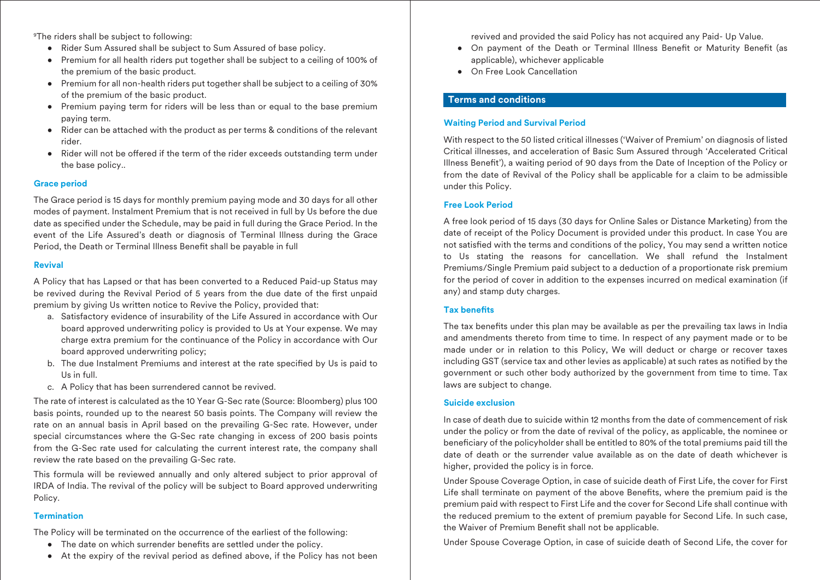9The riders shall be subject to following:

- Rider Sum Assured shall be subject to Sum Assured of base policy.
- Premium for all health riders put together shall be subject to a ceiling of 100% of the premium of the basic product.
- Premium for all non-health riders put together shall be subject to a ceiling of 30% of the premium of the basic product.
- Premium paying term for riders will be less than or equal to the base premium paying term.
- Rider can be attached with the product as per terms & conditions of the relevant rider.
- Rider will not be offered if the term of the rider exceeds outstanding term under the base policy..

#### **Grace period**

The Grace period is 15 days for monthly premium paying mode and 30 days for all other modes of payment. Instalment Premium that is not received in full by Us before the due date as specified under the Schedule, may be paid in full during the Grace Period. In the event of the Life Assured's death or diagnosis of Terminal Illness during the Grace Period, the Death or Terminal Illness Benefit shall be payable in full

#### **Revival**

A Policy that has Lapsed or that has been converted to a Reduced Paid-up Status may be revived during the Revival Period of 5 years from the due date of the first unpaid premium by giving Us written notice to Revive the Policy, provided that:

- a. Satisfactory evidence of insurability of the Life Assured in accordance with Our board approved underwriting policy is provided to Us at Your expense. We may charge extra premium for the continuance of the Policy in accordance with Our board approved underwriting policy;
- b. The due Instalment Premiums and interest at the rate specified by Us is paid to Us in full.
- c. A Policy that has been surrendered cannot be revived.

The rate of interest is calculated as the 10 Year G-Sec rate (Source: Bloomberg) plus 100 basis points, rounded up to the nearest 50 basis points. The Company will review the rate on an annual basis in April based on the prevailing G-Sec rate. However, under special circumstances where the G-Sec rate changing in excess of 200 basis points from the G-Sec rate used for calculating the current interest rate, the company shall review the rate based on the prevailing G-Sec rate.

This formula will be reviewed annually and only altered subject to prior approval of IRDA of India. The revival of the policy will be subject to Board approved underwriting Policy.

### **Termination**

The Policy will be terminated on the occurrence of the earliest of the following:

- The date on which surrender benefits are settled under the policy.
- $\bullet$  At the expiry of the revival period as defined above, if the Policy has not been

revived and provided the said Policy has not acquired any Paid- Up Value.

- On payment of the Death or Terminal Illness Benefit or Maturity Benefit (as applicable), whichever applicable
- On Free Look Cancellation

# **Terms and conditions**

#### **Waiting Period and Survival Period**

With respect to the 50 listed critical illnesses ('Waiver of Premium' on diagnosis of listed Critical illnesses, and acceleration of Basic Sum Assured through 'Accelerated Critical Illness Benet'), a waiting period of 90 days from the Date of Inception of the Policy or from the date of Revival of the Policy shall be applicable for a claim to be admissible under this Policy.

#### **Free Look Period**

A free look period of 15 days (30 days for Online Sales or Distance Marketing) from the date of receipt of the Policy Document is provided under this product. In case You are not satisfied with the terms and conditions of the policy, You may send a written notice to Us stating the reasons for cancellation. We shall refund the Instalment Premiums/Single Premium paid subject to a deduction of a proportionate risk premium for the period of cover in addition to the expenses incurred on medical examination (if any) and stamp duty charges.

#### **Tax benets**

The tax benefits under this plan may be available as per the prevailing tax laws in India and amendments thereto from time to time. In respect of any payment made or to be made under or in relation to this Policy, We will deduct or charge or recover taxes including GST (service tax and other levies as applicable) at such rates as notified by the government or such other body authorized by the government from time to time. Tax laws are subject to change.

#### **Suicide exclusion**

In case of death due to suicide within 12 months from the date of commencement of risk under the policy or from the date of revival of the policy, as applicable, the nominee or beneficiary of the policyholder shall be entitled to 80% of the total premiums paid till the date of death or the surrender value available as on the date of death whichever is higher, provided the policy is in force.

Under Spouse Coverage Option, in case of suicide death of First Life, the cover for First Life shall terminate on payment of the above Benefits, where the premium paid is the premium paid with respect to First Life and the cover for Second Life shall continue with the reduced premium to the extent of premium payable for Second Life. In such case, the Waiver of Premium Benefit shall not be applicable.

Under Spouse Coverage Option, in case of suicide death of Second Life, the cover for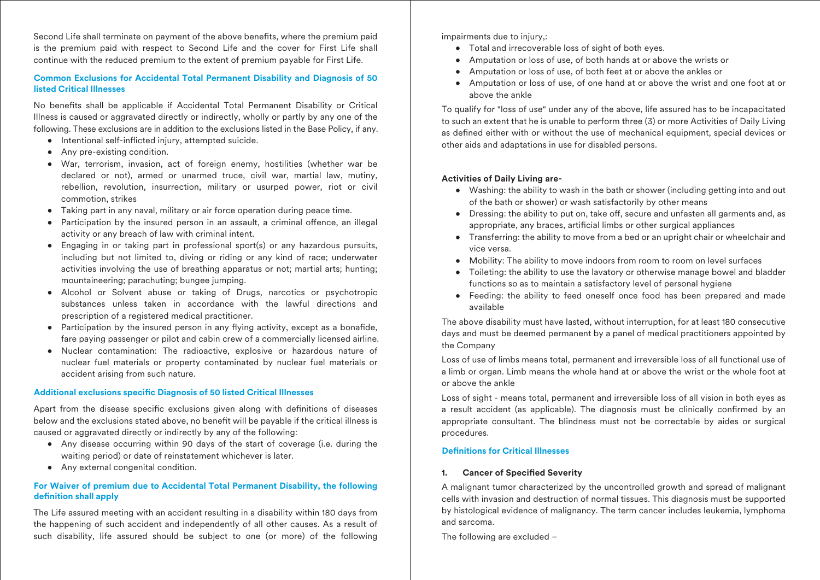Second Life shall terminate on payment of the above benefits, where the premium paid is the premium paid with respect to Second Life and the cover for First Life shall continue with the reduced premium to the extent of premium payable for First Life.

# **Common Exclusions for Accidental Total Permanent Disability and Diagnosis of 50 listed Critical Illnesses**

No benefits shall be applicable if Accidental Total Permanent Disability or Critical Illness is caused or aggravated directly or indirectly, wholly or partly by any one of the following. These exclusions are in addition to the exclusions listed in the Base Policy, if any.

- Intentional self-inflicted injury, attempted suicide.
- Any pre-existing condition.
- War, terrorism, invasion, act of foreign enemy, hostilities (whether war be declared or not), armed or unarmed truce, civil war, martial law, mutiny, rebellion, revolution, insurrection, military or usurped power, riot or civil commotion, strikes
- Taking part in any naval, military or air force operation during peace time.
- Participation by the insured person in an assault, a criminal offence, an illegal activity or any breach of law with criminal intent.
- Engaging in or taking part in professional sport(s) or any hazardous pursuits, including but not limited to, diving or riding or any kind of race; underwater activities involving the use of breathing apparatus or not; martial arts; hunting; mountaineering; parachuting; bungee jumping.
- Alcohol or Solvent abuse or taking of Drugs, narcotics or psychotropic substances unless taken in accordance with the lawful directions and prescription of a registered medical practitioner.
- Participation by the insured person in any flying activity, except as a bonafide, fare paying passenger or pilot and cabin crew of a commercially licensed airline.
- Nuclear contamination: The radioactive, explosive or hazardous nature of nuclear fuel materials or property contaminated by nuclear fuel materials or accident arising from such nature.

### **Additional exclusions specific Diagnosis of 50 listed Critical Illnesses**

Apart from the disease specific exclusions given along with definitions of diseases below and the exclusions stated above, no benefit will be payable if the critical illness is caused or aggravated directly or indirectly by any of the following:

- Any disease occurring within 90 days of the start of coverage (i.e. during the waiting period) or date of reinstatement whichever is later.
- Any external congenital condition.

### **For Waiver of premium due to Accidental Total Permanent Disability, the following definition shall apply**

The Life assured meeting with an accident resulting in a disability within 180 days from the happening of such accident and independently of all other causes. As a result of such disability, life assured should be subject to one (or more) of the following impairments due to injury,:

- Total and irrecoverable loss of sight of both eyes.
- Amputation or loss of use, of both hands at or above the wrists or
- Amputation or loss of use, of both feet at or above the ankles or
- Amputation or loss of use, of one hand at or above the wrist and one foot at or above the ankle

To qualify for "loss of use" under any of the above, life assured has to be incapacitated to such an extent that he is unable to perform three (3) or more Activities of Daily Living as defined either with or without the use of mechanical equipment, special devices or other aids and adaptations in use for disabled persons.

### **Activities of Daily Living are-**

- Washing: the ability to wash in the bath or shower (including getting into and out of the bath or shower) or wash satisfactorily by other means
- Dressing: the ability to put on, take off, secure and unfasten all garments and, as appropriate, any braces, artificial limbs or other surgical appliances
- Transferring: the ability to move from a bed or an upright chair or wheelchair and vice versa.
- Mobility: The ability to move indoors from room to room on level surfaces
- Toileting: the ability to use the lavatory or otherwise manage bowel and bladder functions so as to maintain a satisfactory level of personal hygiene
- Feeding: the ability to feed oneself once food has been prepared and made available

The above disability must have lasted, without interruption, for at least 180 consecutive days and must be deemed permanent by a panel of medical practitioners appointed by the Company

Loss of use of limbs means total, permanent and irreversible loss of all functional use of a limb or organ. Limb means the whole hand at or above the wrist or the whole foot at or above the ankle

Loss of sight - means total, permanent and irreversible loss of all vision in both eyes as a result accident (as applicable). The diagnosis must be clinically confirmed by an appropriate consultant. The blindness must not be correctable by aides or surgical procedures.

### **Definitions for Critical Illnesses**

### 1. Cancer of Specified Severity

A malignant tumor characterized by the uncontrolled growth and spread of malignant cells with invasion and destruction of normal tissues. This diagnosis must be supported by histological evidence of malignancy. The term cancer includes leukemia, lymphoma and sarcoma.

The following are excluded –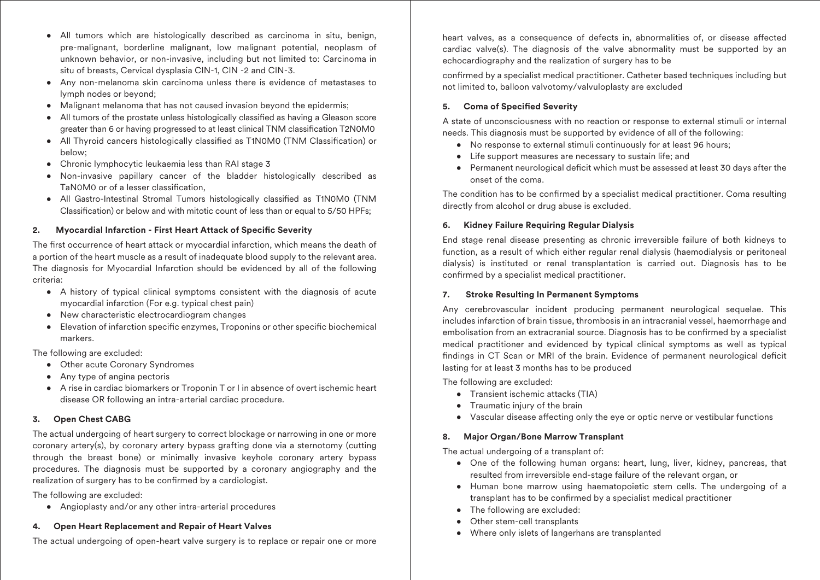- All tumors which are histologically described as carcinoma in situ, benign, pre-malignant, borderline malignant, low malignant potential, neoplasm of unknown behavior, or non-invasive, including but not limited to: Carcinoma in situ of breasts, Cervical dysplasia CIN-1, CIN -2 and CIN-3.
- Any non-melanoma skin carcinoma unless there is evidence of metastases to lymph nodes or beyond;
- Malignant melanoma that has not caused invasion beyond the epidermis;
- All tumors of the prostate unless histologically classified as having a Gleason score greater than 6 or having progressed to at least clinical TNM classification T2N0M0
- All Thyroid cancers histologically classified as T1N0M0 (TNM Classification) or below;
- Chronic lymphocytic leukaemia less than RAI stage 3
- Non-invasive papillary cancer of the bladder histologically described as TaN0M0 or of a lesser classification,
- All Gastro-Intestinal Stromal Tumors histologically classified as T1N0M0 (TNM Classification) or below and with mitotic count of less than or equal to 5/50 HPFs;

# **2. Myocardial Infarction - First Heart Attack of Specific Severity**

The first occurrence of heart attack or myocardial infarction, which means the death of a portion of the heart muscle as a result of inadequate blood supply to the relevant area. The diagnosis for Myocardial Infarction should be evidenced by all of the following criteria:

- A history of typical clinical symptoms consistent with the diagnosis of acute myocardial infarction (For e.g. typical chest pain)
- New characteristic electrocardiogram changes
- Elevation of infarction specific enzymes, Troponins or other specific biochemical markers.

The following are excluded:

- Other acute Coronary Syndromes
- Any type of angina pectoris
- A rise in cardiac biomarkers or Troponin T or I in absence of overt ischemic heart disease OR following an intra-arterial cardiac procedure.

### **3. Open Chest CABG**

The actual undergoing of heart surgery to correct blockage or narrowing in one or more coronary artery(s), by coronary artery bypass grafting done via a sternotomy (cutting through the breast bone) or minimally invasive keyhole coronary artery bypass procedures. The diagnosis must be supported by a coronary angiography and the realization of surgery has to be confirmed by a cardiologist.

The following are excluded:

• Angioplasty and/or any other intra-arterial procedures

### **4. Open Heart Replacement and Repair of Heart Valves**

The actual undergoing of open-heart valve surgery is to replace or repair one or more

heart valves, as a consequence of defects in, abnormalities of, or disease affected cardiac valve(s). The diagnosis of the valve abnormality must be supported by an echocardiography and the realization of surgery has to be

confirmed by a specialist medical practitioner. Catheter based techniques including but not limited to, balloon valvotomy/valvuloplasty are excluded

# **5.** Coma of Specified Severity

A state of unconsciousness with no reaction or response to external stimuli or internal needs. This diagnosis must be supported by evidence of all of the following:

- No response to external stimuli continuously for at least 96 hours;
- Life support measures are necessary to sustain life; and
- Permanent neurological deficit which must be assessed at least 30 days after the onset of the coma.

The condition has to be confirmed by a specialist medical practitioner. Coma resulting directly from alcohol or drug abuse is excluded.

# **6. Kidney Failure Requiring Regular Dialysis**

End stage renal disease presenting as chronic irreversible failure of both kidneys to function, as a result of which either regular renal dialysis (haemodialysis or peritoneal dialysis) is instituted or renal transplantation is carried out. Diagnosis has to be confirmed by a specialist medical practitioner.

### **7. Stroke Resulting In Permanent Symptoms**

Any cerebrovascular incident producing permanent neurological sequelae. This includes infarction of brain tissue, thrombosis in an intracranial vessel, haemorrhage and embolisation from an extracranial source. Diagnosis has to be confirmed by a specialist medical practitioner and evidenced by typical clinical symptoms as well as typical findings in CT Scan or MRI of the brain. Evidence of permanent neurological deficit lasting for at least 3 months has to be produced

The following are excluded:

- Transient ischemic attacks (TIA)
- Traumatic injury of the brain
- Vascular disease affecting only the eye or optic nerve or vestibular functions

# **8. Major Organ/Bone Marrow Transplant**

The actual undergoing of a transplant of:

- One of the following human organs: heart, lung, liver, kidney, pancreas, that resulted from irreversible end-stage failure of the relevant organ, or
- Human bone marrow using haematopoietic stem cells. The undergoing of a transplant has to be confirmed by a specialist medical practitioner
- The following are excluded:
- Other stem-cell transplants
- Where only islets of langerhans are transplanted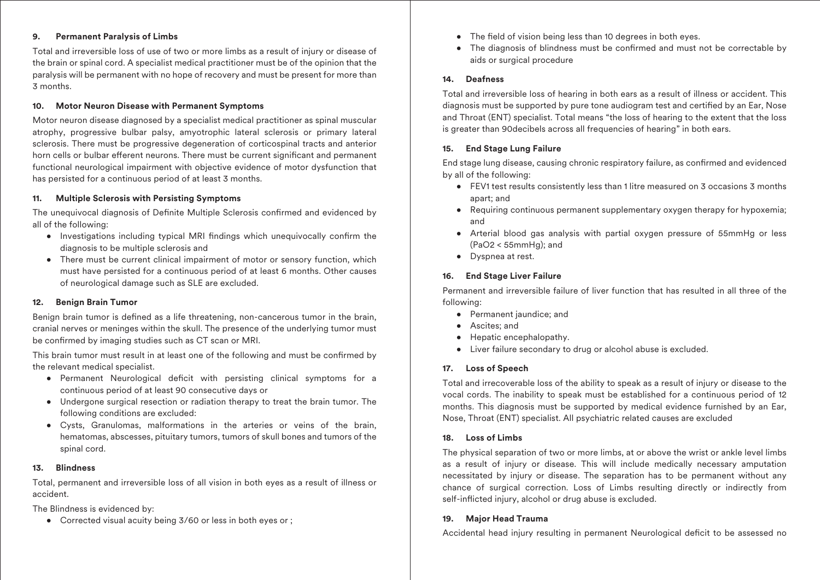# **9. Permanent Paralysis of Limbs**

Total and irreversible loss of use of two or more limbs as a result of injury or disease of the brain or spinal cord. A specialist medical practitioner must be of the opinion that the paralysis will be permanent with no hope of recovery and must be present for more than 3 months.

# **10. Motor Neuron Disease with Permanent Symptoms**

Motor neuron disease diagnosed by a specialist medical practitioner as spinal muscular atrophy, progressive bulbar palsy, amyotrophic lateral sclerosis or primary lateral sclerosis. There must be progressive degeneration of corticospinal tracts and anterior horn cells or bulbar efferent neurons. There must be current significant and permanent functional neurological impairment with objective evidence of motor dysfunction that has persisted for a continuous period of at least 3 months.

# **11. Multiple Sclerosis with Persisting Symptoms**

The unequivocal diagnosis of Definite Multiple Sclerosis confirmed and evidenced by all of the following:

- Investigations including typical MRI findings which unequivocally confirm the diagnosis to be multiple sclerosis and
- There must be current clinical impairment of motor or sensory function, which must have persisted for a continuous period of at least 6 months. Other causes of neurological damage such as SLE are excluded.

# **12. Benign Brain Tumor**

Benign brain tumor is defined as a life threatening, non-cancerous tumor in the brain, cranial nerves or meninges within the skull. The presence of the underlying tumor must be confirmed by imaging studies such as CT scan or MRI.

This brain tumor must result in at least one of the following and must be confirmed by the relevant medical specialist.

- Permanent Neurological deficit with persisting clinical symptoms for a continuous period of at least 90 consecutive days or
- Undergone surgical resection or radiation therapy to treat the brain tumor. The following conditions are excluded:
- Cysts, Granulomas, malformations in the arteries or veins of the brain, hematomas, abscesses, pituitary tumors, tumors of skull bones and tumors of the spinal cord.

# **13. Blindness**

Total, permanent and irreversible loss of all vision in both eyes as a result of illness or accident.

The Blindness is evidenced by:

• Corrected visual acuity being 3/60 or less in both eyes or ;

- The field of vision being less than 10 degrees in both eyes.
- The diagnosis of blindness must be confirmed and must not be correctable by aids or surgical procedure

# **14. Deafness**

Total and irreversible loss of hearing in both ears as a result of illness or accident. This diagnosis must be supported by pure tone audiogram test and certified by an Ear, Nose and Throat (ENT) specialist. Total means "the loss of hearing to the extent that the loss is greater than 90decibels across all frequencies of hearing" in both ears.

# **15. End Stage Lung Failure**

End stage lung disease, causing chronic respiratory failure, as confirmed and evidenced by all of the following:

- FEV1 test results consistently less than 1 litre measured on 3 occasions 3 months apart; and
- Requiring continuous permanent supplementary oxygen therapy for hypoxemia; and
- Arterial blood gas analysis with partial oxygen pressure of 55mmHg or less (PaO2 < 55mmHg); and
- Dyspnea at rest.

# **16. End Stage Liver Failure**

Permanent and irreversible failure of liver function that has resulted in all three of the following:

- Permanent jaundice; and
- Ascites; and
- Hepatic encephalopathy.
- Liver failure secondary to drug or alcohol abuse is excluded.

# **17. Loss of Speech**

Total and irrecoverable loss of the ability to speak as a result of injury or disease to the vocal cords. The inability to speak must be established for a continuous period of 12 months. This diagnosis must be supported by medical evidence furnished by an Ear, Nose, Throat (ENT) specialist. All psychiatric related causes are excluded

# **18. Loss of Limbs**

The physical separation of two or more limbs, at or above the wrist or ankle level limbs as a result of injury or disease. This will include medically necessary amputation necessitated by injury or disease. The separation has to be permanent without any chance of surgical correction. Loss of Limbs resulting directly or indirectly from self-inflicted injury, alcohol or drug abuse is excluded.

# **19. Major Head Trauma**

Accidental head injury resulting in permanent Neurological deficit to be assessed no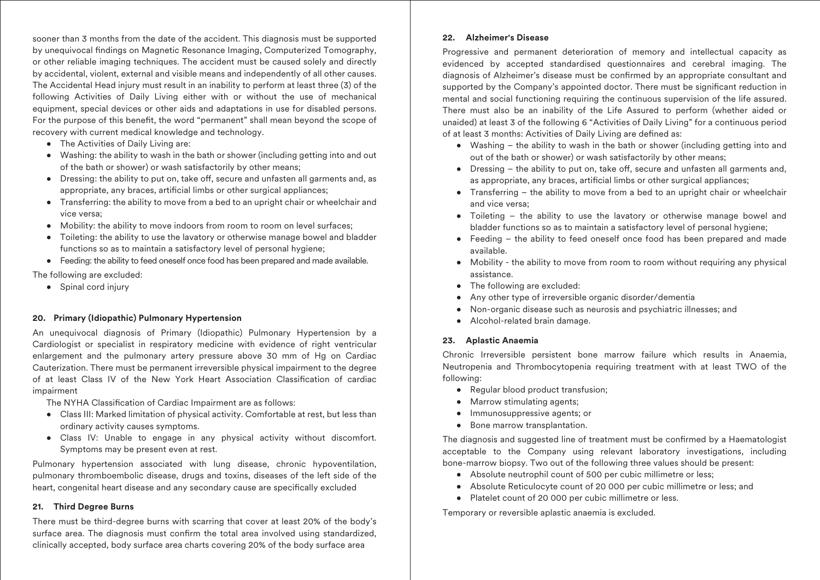sooner than 3 months from the date of the accident. This diagnosis must be supported by unequivocal findings on Magnetic Resonance Imaging, Computerized Tomography, or other reliable imaging techniques. The accident must be caused solely and directly by accidental, violent, external and visible means and independently of all other causes. The Accidental Head injury must result in an inability to perform at least three (3) of the following Activities of Daily Living either with or without the use of mechanical equipment, special devices or other aids and adaptations in use for disabled persons. For the purpose of this benefit, the word "permanent" shall mean beyond the scope of recovery with current medical knowledge and technology.

- The Activities of Daily Living are:
- Washing: the ability to wash in the bath or shower (including getting into and out of the bath or shower) or wash satisfactorily by other means;
- Dressing: the ability to put on, take off, secure and unfasten all garments and, as appropriate, any braces, artificial limbs or other surgical appliances;
- Transferring: the ability to move from a bed to an upright chair or wheelchair and vice versa;
- Mobility: the ability to move indoors from room to room on level surfaces;
- Toileting: the ability to use the lavatory or otherwise manage bowel and bladder functions so as to maintain a satisfactory level of personal hygiene;
- Feeding: the ability to feed oneself once food has been prepared and made available.

The following are excluded:

• Spinal cord injury

### **20. Primary (Idiopathic) Pulmonary Hypertension**

An unequivocal diagnosis of Primary (Idiopathic) Pulmonary Hypertension by a Cardiologist or specialist in respiratory medicine with evidence of right ventricular enlargement and the pulmonary artery pressure above 30 mm of Hg on Cardiac Cauterization. There must be permanent irreversible physical impairment to the degree of at least Class IV of the New York Heart Association Classification of cardiac impairment

The NYHA Classification of Cardiac Impairment are as follows:

- Class III: Marked limitation of physical activity. Comfortable at rest, but less than ordinary activity causes symptoms.
- Class IV: Unable to engage in any physical activity without discomfort. Symptoms may be present even at rest.

Pulmonary hypertension associated with lung disease, chronic hypoventilation, pulmonary thromboembolic disease, drugs and toxins, diseases of the left side of the heart, congenital heart disease and any secondary cause are specifically excluded

### **21. Third Degree Burns**

There must be third-degree burns with scarring that cover at least 20% of the body's surface area. The diagnosis must confirm the total area involved using standardized, clinically accepted, body surface area charts covering 20% of the body surface area

# **22. Alzheimer's Disease**

Progressive and permanent deterioration of memory and intellectual capacity as evidenced by accepted standardised questionnaires and cerebral imaging. The diagnosis of Alzheimer's disease must be confirmed by an appropriate consultant and supported by the Company's appointed doctor. There must be significant reduction in mental and social functioning requiring the continuous supervision of the life assured. There must also be an inability of the Life Assured to perform (whether aided or unaided) at least 3 of the following 6 "Activities of Daily Living" for a continuous period of at least 3 months: Activities of Daily Living are defined as:

- Washing the ability to wash in the bath or shower (including getting into and out of the bath or shower) or wash satisfactorily by other means;
- Dressing  $-$  the ability to put on, take off, secure and unfasten all garments and, as appropriate, any braces, artificial limbs or other surgical appliances;
- Transferring the ability to move from a bed to an upright chair or wheelchair and vice versa;
- Toileting the ability to use the lavatory or otherwise manage bowel and bladder functions so as to maintain a satisfactory level of personal hygiene;
- Feeding the ability to feed oneself once food has been prepared and made available.
- Mobility the ability to move from room to room without requiring any physical assistance.
- The following are excluded:
- Any other type of irreversible organic disorder/dementia
- Non-organic disease such as neurosis and psychiatric illnesses; and
- Alcohol-related brain damage.

### **23. Aplastic Anaemia**

Chronic Irreversible persistent bone marrow failure which results in Anaemia, Neutropenia and Thrombocytopenia requiring treatment with at least TWO of the following:

- Regular blood product transfusion:
- Marrow stimulating agents;
- Immunosuppressive agents; or
- Bone marrow transplantation.

The diagnosis and suggested line of treatment must be confirmed by a Haematologist acceptable to the Company using relevant laboratory investigations, including bone-marrow biopsy. Two out of the following three values should be present:

- Absolute neutrophil count of 500 per cubic millimetre or less;
- Absolute Reticulocyte count of 20 000 per cubic millimetre or less; and
- Platelet count of 20 000 per cubic millimetre or less.

Temporary or reversible aplastic anaemia is excluded.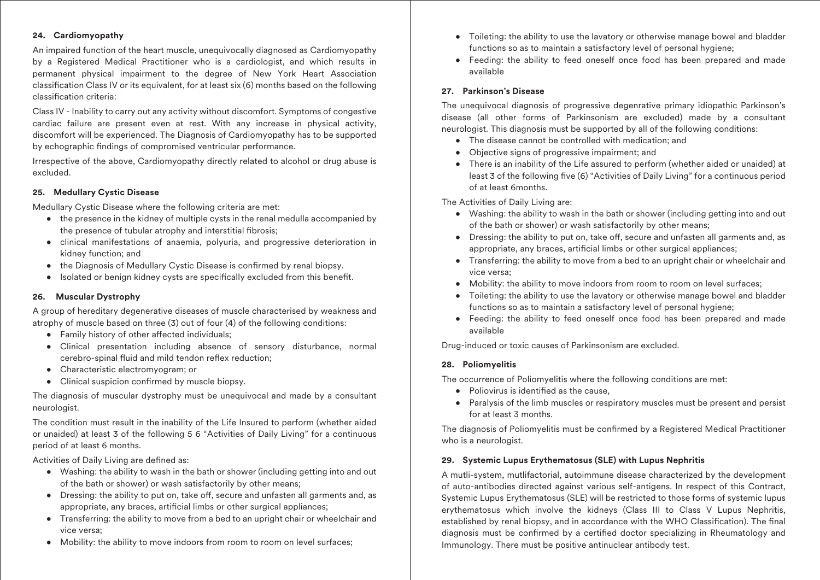# **24. Cardiomyopathy**

An impaired function of the heart muscle, unequivocally diagnosed as Cardiomyopathy by a Registered Medical Practitioner who is a cardiologist, and which results in permanent physical impairment to the degree of New York Heart Association classification Class IV or its equivalent, for at least six (6) months based on the following classification criteria:

Class IV - Inability to carry out any activity without discomfort. Symptoms of congestive cardiac failure are present even at rest. With any increase in physical activity, discomfort will be experienced. The Diagnosis of Cardiomyopathy has to be supported by echographic findings of compromised ventricular performance.

Irrespective of the above, Cardiomyopathy directly related to alcohol or drug abuse is excluded.

# **25. Medullary Cystic Disease**

Medullary Cystic Disease where the following criteria are met:

- the presence in the kidney of multiple cysts in the renal medulla accompanied by the presence of tubular atrophy and interstitial fibrosis;
- clinical manifestations of anaemia, polyuria, and progressive deterioration in kidney function; and
- the Diagnosis of Medullary Cystic Disease is confirmed by renal biopsy.
- Isolated or benign kidney cysts are specifically excluded from this benefit.

### **26. Muscular Dystrophy**

A group of hereditary degenerative diseases of muscle characterised by weakness and atrophy of muscle based on three (3) out of four (4) of the following conditions:

- $\bullet$  Family history of other affected individuals:
- Clinical presentation including absence of sensory disturbance, normal cerebro-spinal fluid and mild tendon reflex reduction;
- Characteristic electromyogram; or
- Clinical suspicion confirmed by muscle biopsy.

The diagnosis of muscular dystrophy must be unequivocal and made by a consultant neurologist.

The condition must result in the inability of the Life Insured to perform (whether aided or unaided) at least 3 of the following 5 6 "Activities of Daily Living" for a continuous period of at least 6 months.

Activities of Daily Living are defined as:

- Washing: the ability to wash in the bath or shower (including getting into and out of the bath or shower) or wash satisfactorily by other means;
- Dressing: the ability to put on, take off, secure and unfasten all garments and, as appropriate, any braces, artificial limbs or other surgical appliances;
- Transferring: the ability to move from a bed to an upright chair or wheelchair and vice versa;
- Mobility: the ability to move indoors from room to room on level surfaces;
- Toileting: the ability to use the lavatory or otherwise manage bowel and bladder functions so as to maintain a satisfactory level of personal hygiene;
- Feeding: the ability to feed oneself once food has been prepared and made available

# **27. Parkinson's Disease**

The unequivocal diagnosis of progressive degenrative primary idiopathic Parkinson's disease (all other forms of Parkinsonism are excluded) made by a consultant neurologist. This diagnosis must be supported by all of the following conditions:

- The disease cannot be controlled with medication; and
- Objective signs of progressive impairment; and
- There is an inability of the Life assured to perform (whether aided or unaided) at least 3 of the following five (6) "Activities of Daily Living" for a continuous period of at least 6months.

The Activities of Daily Living are:

- Washing: the ability to wash in the bath or shower (including getting into and out of the bath or shower) or wash satisfactorily by other means;
- Dressing: the ability to put on, take off, secure and unfasten all garments and, as appropriate, any braces, artificial limbs or other surgical appliances;
- Transferring: the ability to move from a bed to an upright chair or wheelchair and vice versa;
- Mobility: the ability to move indoors from room to room on level surfaces;
- Toileting: the ability to use the lavatory or otherwise manage bowel and bladder functions so as to maintain a satisfactory level of personal hygiene;
- Feeding: the ability to feed oneself once food has been prepared and made available

Drug-induced or toxic causes of Parkinsonism are excluded.

### **28. Poliomyelitis**

The occurrence of Poliomyelitis where the following conditions are met:

- Poliovirus is identified as the cause.
- Paralysis of the limb muscles or respiratory muscles must be present and persist for at least 3 months.

The diagnosis of Poliomyelitis must be confirmed by a Registered Medical Practitioner who is a neurologist.

# **29. Systemic Lupus Erythematosus (SLE) with Lupus Nephritis**

A mutli-system, mutlifactorial, autoimmune disease characterized by the development of auto-antibodies directed against various self-antigens. In respect of this Contract, Systemic Lupus Erythematosus (SLE) will be restricted to those forms of systemic lupus erythematosus which involve the kidneys (Class III to Class V Lupus Nephritis, established by renal biopsy, and in accordance with the WHO Classification). The final diagnosis must be confirmed by a certified doctor specializing in Rheumatology and Immunology. There must be positive antinuclear antibody test.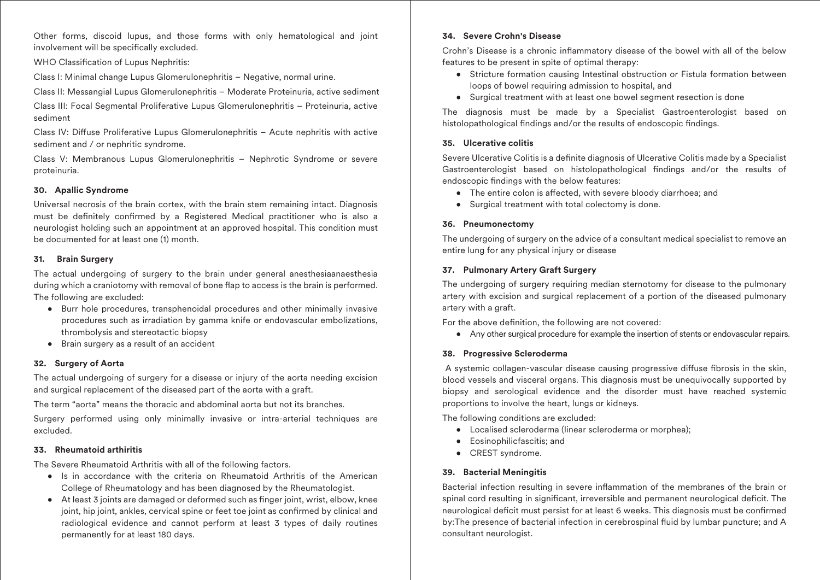Other forms, discoid lupus, and those forms with only hematological and joint involvement will be specifically excluded.

WHO Classification of Lupus Nephritis:

Class I: Minimal change Lupus Glomerulonephritis – Negative, normal urine.

Class II: Messangial Lupus Glomerulonephritis – Moderate Proteinuria, active sediment

Class III: Focal Segmental Proliferative Lupus Glomerulonephritis – Proteinuria, active sediment

Class IV: Diffuse Proliferative Lupus Glomerulonephritis - Acute nephritis with active sediment and / or nephritic syndrome.

Class V: Membranous Lupus Glomerulonephritis – Nephrotic Syndrome or severe proteinuria.

# **30. Apallic Syndrome**

Universal necrosis of the brain cortex, with the brain stem remaining intact. Diagnosis must be definitely confirmed by a Registered Medical practitioner who is also a neurologist holding such an appointment at an approved hospital. This condition must be documented for at least one (1) month.

# **31. Brain Surgery**

The actual undergoing of surgery to the brain under general anesthesiaanaesthesia during which a craniotomy with removal of bone flap to access is the brain is performed. The following are excluded:

- Burr hole procedures, transphenoidal procedures and other minimally invasive procedures such as irradiation by gamma knife or endovascular embolizations, thrombolysis and stereotactic biopsy
- Brain surgery as a result of an accident

# **32. Surgery of Aorta**

The actual undergoing of surgery for a disease or injury of the aorta needing excision and surgical replacement of the diseased part of the aorta with a graft.

The term "aorta" means the thoracic and abdominal aorta but not its branches.

Surgery performed using only minimally invasive or intra-arterial techniques are excluded.

# **33. Rheumatoid arthiritis**

The Severe Rheumatoid Arthritis with all of the following factors.

- Is in accordance with the criteria on Rheumatoid Arthritis of the American College of Rheumatology and has been diagnosed by the Rheumatologist.
- At least 3 joints are damaged or deformed such as finger joint, wrist, elbow, knee joint, hip joint, ankles, cervical spine or feet toe joint as confirmed by clinical and radiological evidence and cannot perform at least 3 types of daily routines permanently for at least 180 days.

# **34. Severe Crohn's Disease**

Crohn's Disease is a chronic inflammatory disease of the bowel with all of the below features to be present in spite of optimal therapy:

- Stricture formation causing Intestinal obstruction or Fistula formation between loops of bowel requiring admission to hospital, and
- Surgical treatment with at least one bowel segment resection is done

The diagnosis must be made by a Specialist Gastroenterologist based on histolopathological findings and/or the results of endoscopic findings.

# **35. Ulcerative colitis**

Severe Ulcerative Colitis is a definite diagnosis of Ulcerative Colitis made by a Specialist Gastroenterologist based on histolopathological findings and/or the results of endoscopic findings with the below features:

- The entire colon is affected, with severe bloody diarrhoea; and
- Surgical treatment with total colectomy is done.

# **36. Pneumonectomy**

The undergoing of surgery on the advice of a consultant medical specialist to remove an entire lung for any physical injury or disease

# **37. Pulmonary Artery Graft Surgery**

The undergoing of surgery requiring median sternotomy for disease to the pulmonary artery with excision and surgical replacement of a portion of the diseased pulmonary artery with a graft.

For the above definition, the following are not covered:

• Any other surgical procedure for example the insertion of stents or endovascular repairs.

### **38. Progressive Scleroderma**

A systemic collagen-vascular disease causing progressive diffuse fibrosis in the skin, blood vessels and visceral organs. This diagnosis must be unequivocally supported by biopsy and serological evidence and the disorder must have reached systemic proportions to involve the heart, lungs or kidneys.

The following conditions are excluded:

- Localised scleroderma (linear scleroderma or morphea);
- Eosinophilicfascitis; and
- CREST syndrome.

### **39. Bacterial Meningitis**

Bacterial infection resulting in severe inflammation of the membranes of the brain or spinal cord resulting in significant, irreversible and permanent neurological deficit. The neurological deficit must persist for at least 6 weeks. This diagnosis must be confirmed by: The presence of bacterial infection in cerebrospinal fluid by lumbar puncture; and A consultant neurologist.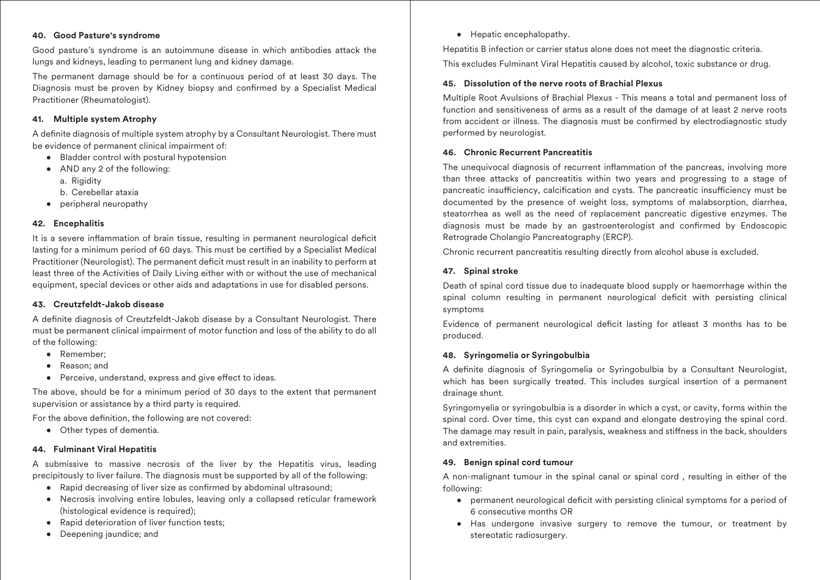# **40. Good Pasture's syndrome**

Good pasture's syndrome is an autoimmune disease in which antibodies attack the lungs and kidneys, leading to permanent lung and kidney damage.

The permanent damage should be for a continuous period of at least 30 days. The Diagnosis must be proven by Kidney biopsy and confirmed by a Specialist Medical Practitioner (Rheumatologist).

# **41. Multiple system Atrophy**

A definite diagnosis of multiple system atrophy by a Consultant Neurologist. There must be evidence of permanent clinical impairment of:

- Bladder control with postural hypotension
- AND any 2 of the following:
	- a. Rigidity
	- b. Cerebellar ataxia
- peripheral neuropathy

# **42. Encephalitis**

It is a severe inflammation of brain tissue, resulting in permanent neurological deficit lasting for a minimum period of 60 days. This must be certified by a Specialist Medical Practitioner (Neurologist). The permanent deficit must result in an inability to perform at least three of the Activities of Daily Living either with or without the use of mechanical equipment, special devices or other aids and adaptations in use for disabled persons.

### **43. Creutzfeldt-Jakob disease**

A definite diagnosis of Creutzfeldt-Jakob disease by a Consultant Neurologist. There must be permanent clinical impairment of motor function and loss of the ability to do all of the following:

- Remember;
- Reason; and
- Perceive, understand, express and give effect to ideas.

The above, should be for a minimum period of 30 days to the extent that permanent supervision or assistance by a third party is required.

For the above definition, the following are not covered:

• Other types of dementia.

# **44. Fulminant Viral Hepatitis**

A submissive to massive necrosis of the liver by the Hepatitis virus, leading precipitously to liver failure. The diagnosis must be supported by all of the following:

- Rapid decreasing of liver size as confirmed by abdominal ultrasound;
- Necrosis involving entire lobules, leaving only a collapsed reticular framework (histological evidence is required);
- Rapid deterioration of liver function tests;
- Deepening jaundice; and

• Hepatic encephalopathy.

Hepatitis B infection or carrier status alone does not meet the diagnostic criteria. This excludes Fulminant Viral Hepatitis caused by alcohol, toxic substance or drug.

# **45. Dissolution of the nerve roots of Brachial Plexus**

Multiple Root Avulsions of Brachial Plexus - This means a total and permanent loss of function and sensitiveness of arms as a result of the damage of at least 2 nerve roots from accident or illness. The diagnosis must be confirmed by electrodiagnostic study performed by neurologist.

# **46. Chronic Recurrent Pancreatitis**

The unequivocal diagnosis of recurrent inflammation of the pancreas, involving more than three attacks of pancreatitis within two years and progressing to a stage of pancreatic insufficiency, calcification and cysts. The pancreatic insufficiency must be documented by the presence of weight loss, symptoms of malabsorption, diarrhea, steatorrhea as well as the need of replacement pancreatic digestive enzymes. The diagnosis must be made by an gastroenterologist and confirmed by Endoscopic Retrograde Cholangio Pancreatography (ERCP).

Chronic recurrent pancreatitis resulting directly from alcohol abuse is excluded.

# **47. Spinal stroke**

Death of spinal cord tissue due to inadequate blood supply or haemorrhage within the spinal column resulting in permanent neurological deficit with persisting clinical symptoms

Evidence of permanent neurological deficit lasting for atleast 3 months has to be produced.

# **48. Syringomelia or Syringobulbia**

A definite diagnosis of Syringomelia or Syringobulbia by a Consultant Neurologist, which has been surgically treated. This includes surgical insertion of a permanent drainage shunt.

Syringomyelia or syringobulbia is a disorder in which a cyst, or cavity, forms within the spinal cord. Over time, this cyst can expand and elongate destroying the spinal cord. The damage may result in pain, paralysis, weakness and stiffness in the back, shoulders and extremities.

### **49. Benign spinal cord tumour**

A non-malignant tumour in the spinal canal or spinal cord , resulting in either of the following:

- permanent neurological deficit with persisting clinical symptoms for a period of 6 consecutive months OR
- Has undergone invasive surgery to remove the tumour, or treatment by stereotatic radiosurgery.